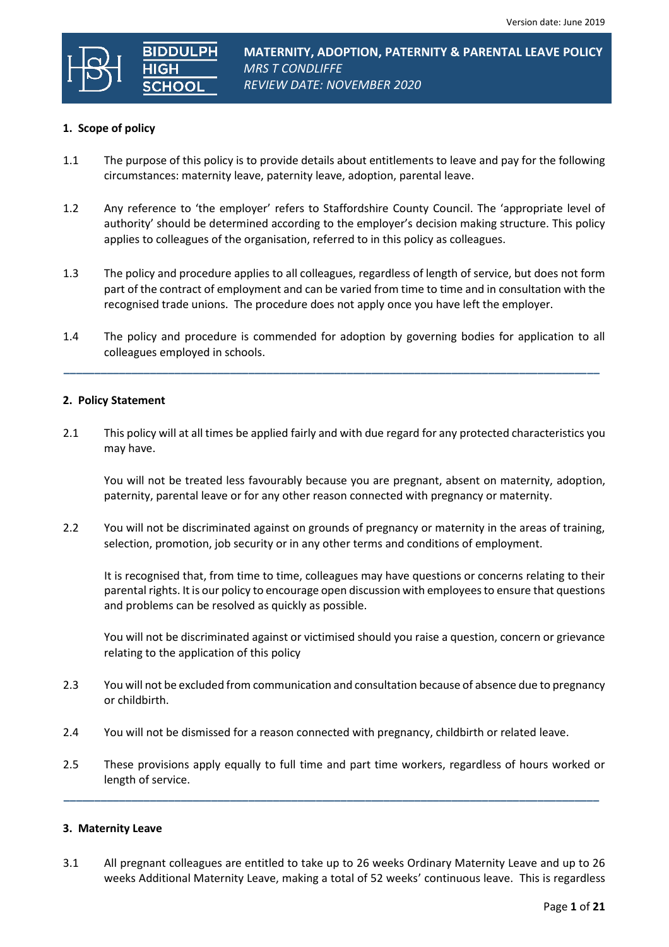

# **MATERNITY, ADOPTION, PATERNITY & PARENTAL LEAVE POLICY** *MRS T CONDLIFFE REVIEW DATE: NOVEMBER 2020*

## **1. Scope of policy**

- 1.1 The purpose of this policy is to provide details about entitlements to leave and pay for the following circumstances: maternity leave, paternity leave, adoption, parental leave.
- 1.2 Any reference to 'the employer' refers to Staffordshire County Council. The 'appropriate level of authority' should be determined according to the employer's decision making structure. This policy applies to colleagues of the organisation, referred to in this policy as colleagues.
- 1.3 The policy and procedure applies to all colleagues, regardless of length of service, but does not form part of the contract of employment and can be varied from time to time and in consultation with the recognised trade unions. The procedure does not apply once you have left the employer.
- 1.4 The policy and procedure is commended for adoption by governing bodies for application to all colleagues employed in schools.

**\_\_\_\_\_\_\_\_\_\_\_\_\_\_\_\_\_\_\_\_\_\_\_\_\_\_\_\_\_\_\_\_\_\_\_\_\_\_\_\_\_\_\_\_\_\_\_\_\_\_\_\_\_\_\_\_\_\_\_\_\_\_\_\_\_\_\_\_\_\_\_\_\_\_\_\_\_\_\_\_\_\_\_\_\_\_\_**

#### **2. Policy Statement**

2.1 This policy will at all times be applied fairly and with due regard for any protected characteristics you may have.

 You will not be treated less favourably because you are pregnant, absent on maternity, adoption, paternity, parental leave or for any other reason connected with pregnancy or maternity.

2.2 You will not be discriminated against on grounds of pregnancy or maternity in the areas of training, selection, promotion, job security or in any other terms and conditions of employment.

It is recognised that, from time to time, colleagues may have questions or concerns relating to their parental rights. It is our policy to encourage open discussion with employees to ensure that questions and problems can be resolved as quickly as possible.

 You will not be discriminated against or victimised should you raise a question, concern or grievance relating to the application of this policy

- 2.3 You will not be excluded from communication and consultation because of absence due to pregnancy or childbirth.
- 2.4 You will not be dismissed for a reason connected with pregnancy, childbirth or related leave.
- 2.5 These provisions apply equally to full time and part time workers, regardless of hours worked or length of service.

**\_\_\_\_\_\_\_\_\_\_\_\_\_\_\_\_\_\_\_\_\_\_\_\_\_\_\_\_\_\_\_\_\_\_\_\_\_\_\_\_\_\_\_\_\_\_\_\_\_\_\_\_\_\_\_\_\_\_\_\_\_\_\_\_\_\_\_\_\_\_\_\_\_\_\_\_\_\_\_\_\_\_\_\_\_\_\_**

#### **3. Maternity Leave**

3.1 All pregnant colleagues are entitled to take up to 26 weeks Ordinary Maternity Leave and up to 26 weeks Additional Maternity Leave, making a total of 52 weeks' continuous leave. This is regardless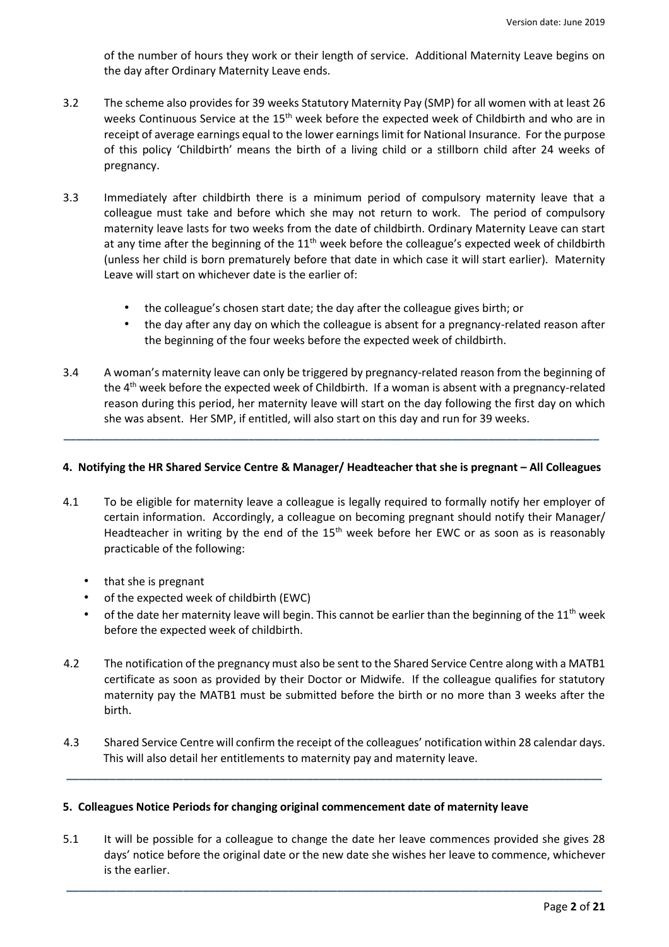of the number of hours they work or their length of service. Additional Maternity Leave begins on the day after Ordinary Maternity Leave ends.

- 3.2 The scheme also provides for 39 weeks Statutory Maternity Pay (SMP) for all women with at least 26 weeks Continuous Service at the  $15<sup>th</sup>$  week before the expected week of Childbirth and who are in receipt of average earnings equal to the lower earnings limit for National Insurance. For the purpose of this policy 'Childbirth' means the birth of a living child or a stillborn child after 24 weeks of pregnancy.
- 3.3 Immediately after childbirth there is a minimum period of compulsory maternity leave that a colleague must take and before which she may not return to work. The period of compulsory maternity leave lasts for two weeks from the date of childbirth. Ordinary Maternity Leave can start at any time after the beginning of the  $11<sup>th</sup>$  week before the colleague's expected week of childbirth (unless her child is born prematurely before that date in which case it will start earlier). Maternity Leave will start on whichever date is the earlier of:
	- the colleague's chosen start date; the day after the colleague gives birth; or
	- the day after any day on which the colleague is absent for a pregnancy-related reason after the beginning of the four weeks before the expected week of childbirth.
- 3.4 A woman's maternity leave can only be triggered by pregnancy-related reason from the beginning of the 4<sup>th</sup> week before the expected week of Childbirth. If a woman is absent with a pregnancy-related reason during this period, her maternity leave will start on the day following the first day on which she was absent. Her SMP, if entitled, will also start on this day and run for 39 weeks.

## **4. Notifying the HR Shared Service Centre & Manager/ Headteacher that she is pregnant – All Colleagues**

**\_\_\_\_\_\_\_\_\_\_\_\_\_\_\_\_\_\_\_\_\_\_\_\_\_\_\_\_\_\_\_\_\_\_\_\_\_\_\_\_\_\_\_\_\_\_\_\_\_\_\_\_\_\_\_\_\_\_\_\_\_\_\_\_\_\_\_\_\_\_\_\_\_\_\_\_\_\_\_\_\_\_\_\_\_\_\_**

- 4.1 To be eligible for maternity leave a colleague is legally required to formally notify her employer of certain information. Accordingly, a colleague on becoming pregnant should notify their Manager/ Headteacher in writing by the end of the  $15<sup>th</sup>$  week before her EWC or as soon as is reasonably practicable of the following:
	- that she is pregnant
	- of the expected week of childbirth (EWC)
	- of the date her maternity leave will begin. This cannot be earlier than the beginning of the  $11^{\text{th}}$  week before the expected week of childbirth.
- 4.2 The notification of the pregnancy must also be sent to the Shared Service Centre along with a MATB1 certificate as soon as provided by their Doctor or Midwife. If the colleague qualifies for statutory maternity pay the MATB1 must be submitted before the birth or no more than 3 weeks after the birth.
- 4.3 Shared Service Centre will confirm the receipt of the colleagues' notification within 28 calendar days. This will also detail her entitlements to maternity pay and maternity leave.

**\_\_\_\_\_\_\_\_\_\_\_\_\_\_\_\_\_\_\_\_\_\_\_\_\_\_\_\_\_\_\_\_\_\_\_\_\_\_\_\_\_\_\_\_\_\_\_\_\_\_\_\_\_\_\_\_\_\_\_\_\_\_\_\_\_\_\_\_\_\_\_\_\_\_\_\_\_\_\_\_\_\_\_\_\_\_\_**

#### **5. Colleagues Notice Periods for changing original commencement date of maternity leave**

5.1 It will be possible for a colleague to change the date her leave commences provided she gives 28 days' notice before the original date or the new date she wishes her leave to commence, whichever is the earlier.

**\_\_\_\_\_\_\_\_\_\_\_\_\_\_\_\_\_\_\_\_\_\_\_\_\_\_\_\_\_\_\_\_\_\_\_\_\_\_\_\_\_\_\_\_\_\_\_\_\_\_\_\_\_\_\_\_\_\_\_\_\_\_\_\_\_\_\_\_\_\_\_\_\_\_\_\_\_\_\_\_\_\_\_\_\_\_\_**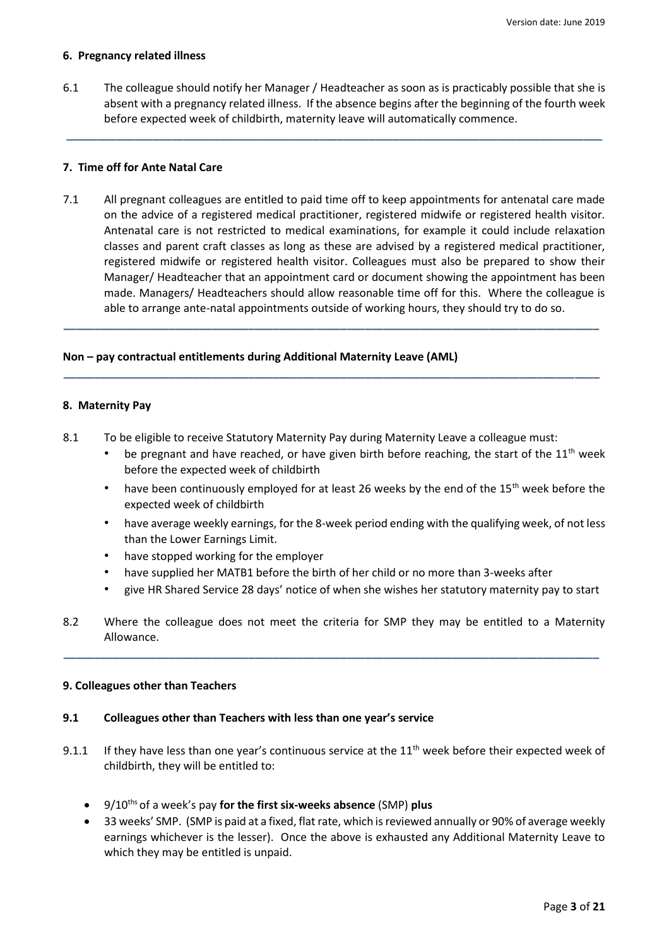#### **6. Pregnancy related illness**

6.1 The colleague should notify her Manager / Headteacher as soon as is practicably possible that she is absent with a pregnancy related illness. If the absence begins after the beginning of the fourth week before expected week of childbirth, maternity leave will automatically commence.

**\_\_\_\_\_\_\_\_\_\_\_\_\_\_\_\_\_\_\_\_\_\_\_\_\_\_\_\_\_\_\_\_\_\_\_\_\_\_\_\_\_\_\_\_\_\_\_\_\_\_\_\_\_\_\_\_\_\_\_\_\_\_\_\_\_\_\_\_\_\_\_\_\_\_\_\_\_\_\_\_\_\_\_\_\_\_\_**

## **7. Time off for Ante Natal Care**

7.1 All pregnant colleagues are entitled to paid time off to keep appointments for antenatal care made on the advice of a registered medical practitioner, registered midwife or registered health visitor. Antenatal care is not restricted to medical examinations, for example it could include relaxation classes and parent craft classes as long as these are advised by a registered medical practitioner, registered midwife or registered health visitor. Colleagues must also be prepared to show their Manager/ Headteacher that an appointment card or document showing the appointment has been made. Managers/ Headteachers should allow reasonable time off for this. Where the colleague is able to arrange ante-natal appointments outside of working hours, they should try to do so.

**\_\_\_\_\_\_\_\_\_\_\_\_\_\_\_\_\_\_\_\_\_\_\_\_\_\_\_\_\_\_\_\_\_\_\_\_\_\_\_\_\_\_\_\_\_\_\_\_\_\_\_\_\_\_\_\_\_\_\_\_\_\_\_\_\_\_\_\_\_\_\_\_\_\_\_\_\_\_\_\_\_\_\_\_\_\_\_**

**\_\_\_\_\_\_\_\_\_\_\_\_\_\_\_\_\_\_\_\_\_\_\_\_\_\_\_\_\_\_\_\_\_\_\_\_\_\_\_\_\_\_\_\_\_\_\_\_\_\_\_\_\_\_\_\_\_\_\_\_\_\_\_\_\_\_\_\_\_\_\_\_\_\_\_\_\_\_\_\_\_\_\_\_\_\_\_**

## **Non – pay contractual entitlements during Additional Maternity Leave (AML)**

## **8. Maternity Pay**

- 8.1 To be eligible to receive Statutory Maternity Pay during Maternity Leave a colleague must:
	- be pregnant and have reached, or have given birth before reaching, the start of the  $11<sup>th</sup>$  week before the expected week of childbirth
	- have been continuously employed for at least 26 weeks by the end of the 15<sup>th</sup> week before the expected week of childbirth
	- have average weekly earnings, for the 8-week period ending with the qualifying week, of not less than the Lower Earnings Limit.
	- have stopped working for the employer
	- have supplied her MATB1 before the birth of her child or no more than 3-weeks after
	- give HR Shared Service 28 days' notice of when she wishes her statutory maternity pay to start
- 8.2 Where the colleague does not meet the criteria for SMP they may be entitled to a Maternity Allowance.

**\_\_\_\_\_\_\_\_\_\_\_\_\_\_\_\_\_\_\_\_\_\_\_\_\_\_\_\_\_\_\_\_\_\_\_\_\_\_\_\_\_\_\_\_\_\_\_\_\_\_\_\_\_\_\_\_\_\_\_\_\_\_\_\_\_\_\_\_\_\_\_\_\_\_\_\_\_\_\_\_\_\_\_\_\_\_\_**

#### **9. Colleagues other than Teachers**

#### **9.1 Colleagues other than Teachers with less than one year's service**

- 9.1.1 If they have less than one year's continuous service at the  $11<sup>th</sup>$  week before their expected week of childbirth, they will be entitled to:
	- 9/10ths of a week's pay **for the first six-weeks absence** (SMP) **plus**
	- 33 weeks' SMP. (SMP is paid at a fixed, flat rate, which is reviewed annually or 90% of average weekly earnings whichever is the lesser). Once the above is exhausted any Additional Maternity Leave to which they may be entitled is unpaid.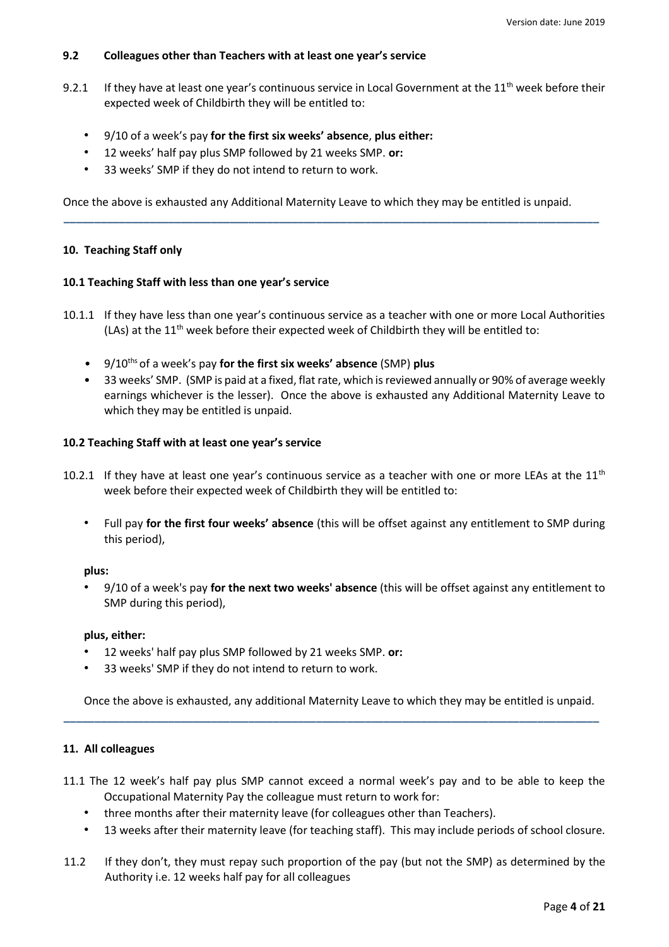# **9.2 Colleagues other than Teachers with at least one year's service**

- 9.2.1 If they have at least one year's continuous service in Local Government at the  $11<sup>th</sup>$  week before their expected week of Childbirth they will be entitled to:
	- 9/10 of a week's pay **for the first six weeks' absence**, **plus either:**
	- 12 weeks' half pay plus SMP followed by 21 weeks SMP. **or:**
	- 33 weeks' SMP if they do not intend to return to work.

Once the above is exhausted any Additional Maternity Leave to which they may be entitled is unpaid.

**\_\_\_\_\_\_\_\_\_\_\_\_\_\_\_\_\_\_\_\_\_\_\_\_\_\_\_\_\_\_\_\_\_\_\_\_\_\_\_\_\_\_\_\_\_\_\_\_\_\_\_\_\_\_\_\_\_\_\_\_\_\_\_\_\_\_\_\_\_\_\_\_\_\_\_\_\_\_\_\_\_\_\_\_\_\_\_**

## **10. Teaching Staff only**

#### **10.1 Teaching Staff with less than one year's service**

- 10.1.1 If they have less than one year's continuous service as a teacher with one or more Local Authorities (LAs) at the  $11<sup>th</sup>$  week before their expected week of Childbirth they will be entitled to:
	- 9/10ths of a week's pay **for the first six weeks' absence** (SMP) **plus**
	- 33 weeks' SMP. (SMP is paid at a fixed, flat rate, which is reviewed annually or 90% of average weekly earnings whichever is the lesser). Once the above is exhausted any Additional Maternity Leave to which they may be entitled is unpaid.

#### **10.2 Teaching Staff with at least one year's service**

- 10.2.1 If they have at least one year's continuous service as a teacher with one or more LEAs at the  $11<sup>th</sup>$ week before their expected week of Childbirth they will be entitled to:
	- Full pay **for the first four weeks' absence** (this will be offset against any entitlement to SMP during this period),

#### **plus:**

• 9/10 of a week's pay **for the next two weeks' absence** (this will be offset against any entitlement to SMP during this period),

#### **plus, either:**

- 12 weeks' half pay plus SMP followed by 21 weeks SMP. **or:**
- 33 weeks' SMP if they do not intend to return to work.

Once the above is exhausted, any additional Maternity Leave to which they may be entitled is unpaid.

**\_\_\_\_\_\_\_\_\_\_\_\_\_\_\_\_\_\_\_\_\_\_\_\_\_\_\_\_\_\_\_\_\_\_\_\_\_\_\_\_\_\_\_\_\_\_\_\_\_\_\_\_\_\_\_\_\_\_\_\_\_\_\_\_\_\_\_\_\_\_\_\_\_\_\_\_\_\_\_\_\_\_\_\_\_\_\_**

## **11. All colleagues**

- 11.1 The 12 week's half pay plus SMP cannot exceed a normal week's pay and to be able to keep the Occupational Maternity Pay the colleague must return to work for:
	- three months after their maternity leave (for colleagues other than Teachers).
	- 13 weeks after their maternity leave (for teaching staff). This may include periods of school closure.
- 11.2 If they don't, they must repay such proportion of the pay (but not the SMP) as determined by the Authority i.e. 12 weeks half pay for all colleagues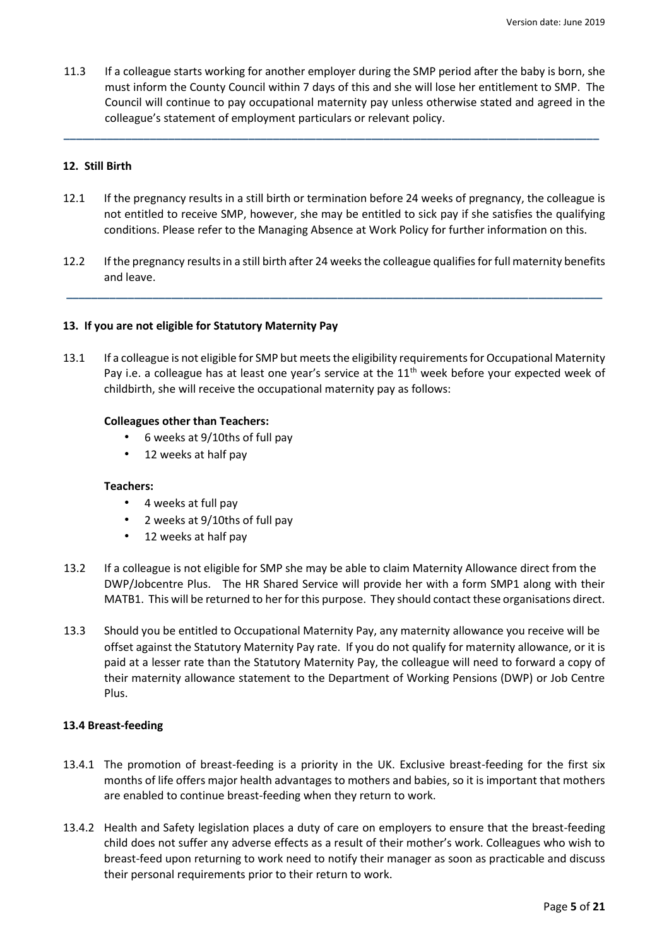11.3 If a colleague starts working for another employer during the SMP period after the baby is born, she must inform the County Council within 7 days of this and she will lose her entitlement to SMP. The Council will continue to pay occupational maternity pay unless otherwise stated and agreed in the colleague's statement of employment particulars or relevant policy.

**\_\_\_\_\_\_\_\_\_\_\_\_\_\_\_\_\_\_\_\_\_\_\_\_\_\_\_\_\_\_\_\_\_\_\_\_\_\_\_\_\_\_\_\_\_\_\_\_\_\_\_\_\_\_\_\_\_\_\_\_\_\_\_\_\_\_\_\_\_\_\_\_\_\_\_\_\_\_\_\_\_\_\_\_\_\_\_**

## **12. Still Birth**

- 12.1 If the pregnancy results in a still birth or termination before 24 weeks of pregnancy, the colleague is not entitled to receive SMP, however, she may be entitled to sick pay if she satisfies the qualifying conditions. Please refer to the Managing Absence at Work Policy for further information on this.
- 12.2 If the pregnancy results in a still birth after 24 weeks the colleague qualifies for full maternity benefits and leave.

**\_\_\_\_\_\_\_\_\_\_\_\_\_\_\_\_\_\_\_\_\_\_\_\_\_\_\_\_\_\_\_\_\_\_\_\_\_\_\_\_\_\_\_\_\_\_\_\_\_\_\_\_\_\_\_\_\_\_\_\_\_\_\_\_\_\_\_\_\_\_\_\_\_\_\_\_\_\_\_\_\_\_\_\_\_\_\_**

#### **13. If you are not eligible for Statutory Maternity Pay**

13.1 If a colleague is not eligible for SMP but meets the eligibility requirements for Occupational Maternity Pay i.e. a colleague has at least one year's service at the 11<sup>th</sup> week before your expected week of childbirth, she will receive the occupational maternity pay as follows:

#### **Colleagues other than Teachers:**

- 6 weeks at 9/10ths of full pay
- 12 weeks at half pay

#### **Teachers:**

- 4 weeks at full pay
- 2 weeks at 9/10ths of full pay
- 12 weeks at half pay
- 13.2 If a colleague is not eligible for SMP she may be able to claim Maternity Allowance direct from the DWP/Jobcentre Plus. The HR Shared Service will provide her with a form SMP1 along with their MATB1. This will be returned to her for this purpose. They should contact these organisations direct.
- 13.3 Should you be entitled to Occupational Maternity Pay, any maternity allowance you receive will be offset against the Statutory Maternity Pay rate. If you do not qualify for maternity allowance, or it is paid at a lesser rate than the Statutory Maternity Pay, the colleague will need to forward a copy of their maternity allowance statement to the Department of Working Pensions (DWP) or Job Centre Plus.

#### **13.4 Breast-feeding**

- 13.4.1 The promotion of breast-feeding is a priority in the UK. Exclusive breast-feeding for the first six months of life offers major health advantages to mothers and babies, so it is important that mothers are enabled to continue breast-feeding when they return to work.
- 13.4.2 Health and Safety legislation places a duty of care on employers to ensure that the breast-feeding child does not suffer any adverse effects as a result of their mother's work. Colleagues who wish to breast-feed upon returning to work need to notify their manager as soon as practicable and discuss their personal requirements prior to their return to work.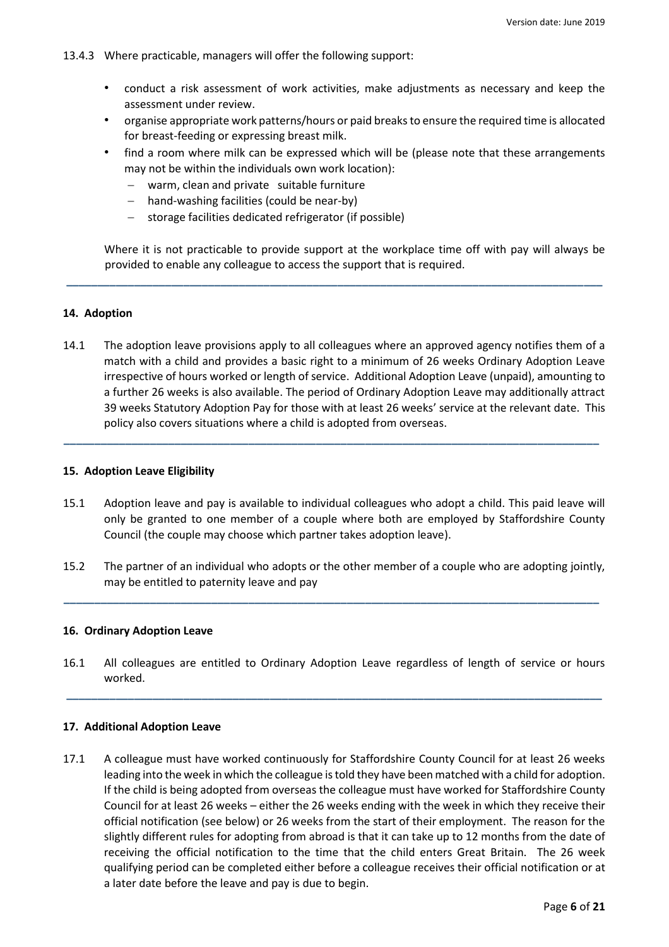- 13.4.3 Where practicable, managers will offer the following support:
	- conduct a risk assessment of work activities, make adjustments as necessary and keep the assessment under review.
	- organise appropriate work patterns/hours or paid breaks to ensure the required time is allocated for breast-feeding or expressing breast milk.
	- find a room where milk can be expressed which will be (please note that these arrangements may not be within the individuals own work location):
		- warm, clean and private suitable furniture
		- hand-washing facilities (could be near-by)
		- $-$  storage facilities dedicated refrigerator (if possible)

Where it is not practicable to provide support at the workplace time off with pay will always be provided to enable any colleague to access the support that is required.

## **14. Adoption**

14.1 The adoption leave provisions apply to all colleagues where an approved agency notifies them of a match with a child and provides a basic right to a minimum of 26 weeks Ordinary Adoption Leave irrespective of hours worked or length of service. Additional Adoption Leave (unpaid), amounting to a further 26 weeks is also available. The period of Ordinary Adoption Leave may additionally attract 39 weeks Statutory Adoption Pay for those with at least 26 weeks' service at the relevant date. This policy also covers situations where a child is adopted from overseas.

**\_\_\_\_\_\_\_\_\_\_\_\_\_\_\_\_\_\_\_\_\_\_\_\_\_\_\_\_\_\_\_\_\_\_\_\_\_\_\_\_\_\_\_\_\_\_\_\_\_\_\_\_\_\_\_\_\_\_\_\_\_\_\_\_\_\_\_\_\_\_\_\_\_\_\_\_\_\_\_\_\_\_\_\_\_\_\_**

**\_\_\_\_\_\_\_\_\_\_\_\_\_\_\_\_\_\_\_\_\_\_\_\_\_\_\_\_\_\_\_\_\_\_\_\_\_\_\_\_\_\_\_\_\_\_\_\_\_\_\_\_\_\_\_\_\_\_\_\_\_\_\_\_\_\_\_\_\_\_\_\_\_\_\_\_\_\_\_\_\_\_\_\_\_\_\_**

## **15. Adoption Leave Eligibility**

- 15.1 Adoption leave and pay is available to individual colleagues who adopt a child. This paid leave will only be granted to one member of a couple where both are employed by Staffordshire County Council (the couple may choose which partner takes adoption leave).
- 15.2 The partner of an individual who adopts or the other member of a couple who are adopting jointly, may be entitled to paternity leave and pay

**\_\_\_\_\_\_\_\_\_\_\_\_\_\_\_\_\_\_\_\_\_\_\_\_\_\_\_\_\_\_\_\_\_\_\_\_\_\_\_\_\_\_\_\_\_\_\_\_\_\_\_\_\_\_\_\_\_\_\_\_\_\_\_\_\_\_\_\_\_\_\_\_\_\_\_\_\_\_\_\_\_\_\_\_\_\_\_**

#### **16. Ordinary Adoption Leave**

16.1 All colleagues are entitled to Ordinary Adoption Leave regardless of length of service or hours worked.

**\_\_\_\_\_\_\_\_\_\_\_\_\_\_\_\_\_\_\_\_\_\_\_\_\_\_\_\_\_\_\_\_\_\_\_\_\_\_\_\_\_\_\_\_\_\_\_\_\_\_\_\_\_\_\_\_\_\_\_\_\_\_\_\_\_\_\_\_\_\_\_\_\_\_\_\_\_\_\_\_\_\_\_\_\_\_\_**

#### **17. Additional Adoption Leave**

17.1 A colleague must have worked continuously for Staffordshire County Council for at least 26 weeks leading into the week in which the colleague is told they have been matched with a child for adoption. If the child is being adopted from overseas the colleague must have worked for Staffordshire County Council for at least 26 weeks – either the 26 weeks ending with the week in which they receive their official notification (see below) or 26 weeks from the start of their employment. The reason for the slightly different rules for adopting from abroad is that it can take up to 12 months from the date of receiving the official notification to the time that the child enters Great Britain. The 26 week qualifying period can be completed either before a colleague receives their official notification or at a later date before the leave and pay is due to begin.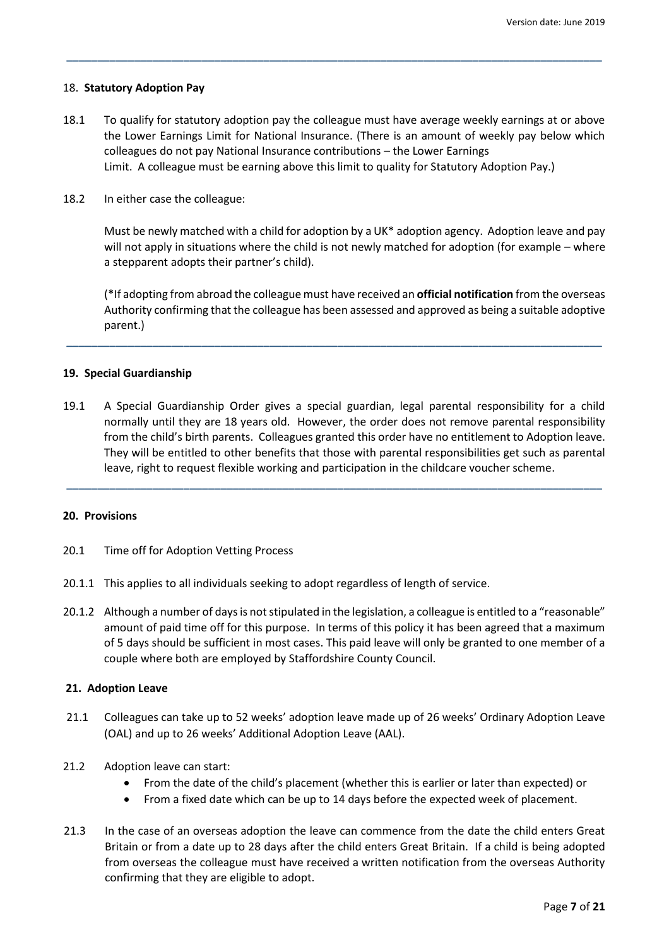#### 18. **Statutory Adoption Pay**

18.1 To qualify for statutory adoption pay the colleague must have average weekly earnings at or above the Lower Earnings Limit for National Insurance. (There is an amount of weekly pay below which colleagues do not pay National Insurance contributions – the Lower Earnings Limit. A colleague must be earning above this limit to quality for Statutory Adoption Pay.)

**\_\_\_\_\_\_\_\_\_\_\_\_\_\_\_\_\_\_\_\_\_\_\_\_\_\_\_\_\_\_\_\_\_\_\_\_\_\_\_\_\_\_\_\_\_\_\_\_\_\_\_\_\_\_\_\_\_\_\_\_\_\_\_\_\_\_\_\_\_\_\_\_\_\_\_\_\_\_\_\_\_\_\_\_\_\_\_**

18.2 In either case the colleague:

Must be newly matched with a child for adoption by a UK\* adoption agency. Adoption leave and pay will not apply in situations where the child is not newly matched for adoption (for example – where a stepparent adopts their partner's child).

(\*If adopting from abroad the colleague must have received an **official notification** from the overseas Authority confirming that the colleague has been assessed and approved as being a suitable adoptive parent.)

## **19. Special Guardianship**

19.1 A Special Guardianship Order gives a special guardian, legal parental responsibility for a child normally until they are 18 years old. However, the order does not remove parental responsibility from the child's birth parents. Colleagues granted this order have no entitlement to Adoption leave. They will be entitled to other benefits that those with parental responsibilities get such as parental leave, right to request flexible working and participation in the childcare voucher scheme.

**\_\_\_\_\_\_\_\_\_\_\_\_\_\_\_\_\_\_\_\_\_\_\_\_\_\_\_\_\_\_\_\_\_\_\_\_\_\_\_\_\_\_\_\_\_\_\_\_\_\_\_\_\_\_\_\_\_\_\_\_\_\_\_\_\_\_\_\_\_\_\_\_\_\_\_\_\_\_\_\_\_\_\_\_\_\_\_**

**\_\_\_\_\_\_\_\_\_\_\_\_\_\_\_\_\_\_\_\_\_\_\_\_\_\_\_\_\_\_\_\_\_\_\_\_\_\_\_\_\_\_\_\_\_\_\_\_\_\_\_\_\_\_\_\_\_\_\_\_\_\_\_\_\_\_\_\_\_\_\_\_\_\_\_\_\_\_\_\_\_\_\_\_\_\_\_**

#### **20. Provisions**

- 20.1 Time off for Adoption Vetting Process
- 20.1.1 This applies to all individuals seeking to adopt regardless of length of service.
- 20.1.2 Although a number of days is not stipulated in the legislation, a colleague is entitled to a "reasonable" amount of paid time off for this purpose. In terms of this policy it has been agreed that a maximum of 5 days should be sufficient in most cases. This paid leave will only be granted to one member of a couple where both are employed by Staffordshire County Council.

#### **21. Adoption Leave**

- 21.1 Colleagues can take up to 52 weeks' adoption leave made up of 26 weeks' Ordinary Adoption Leave (OAL) and up to 26 weeks' Additional Adoption Leave (AAL).
- 21.2 Adoption leave can start:
	- From the date of the child's placement (whether this is earlier or later than expected) or
	- From a fixed date which can be up to 14 days before the expected week of placement.
- 21.3 In the case of an overseas adoption the leave can commence from the date the child enters Great Britain or from a date up to 28 days after the child enters Great Britain. If a child is being adopted from overseas the colleague must have received a written notification from the overseas Authority confirming that they are eligible to adopt.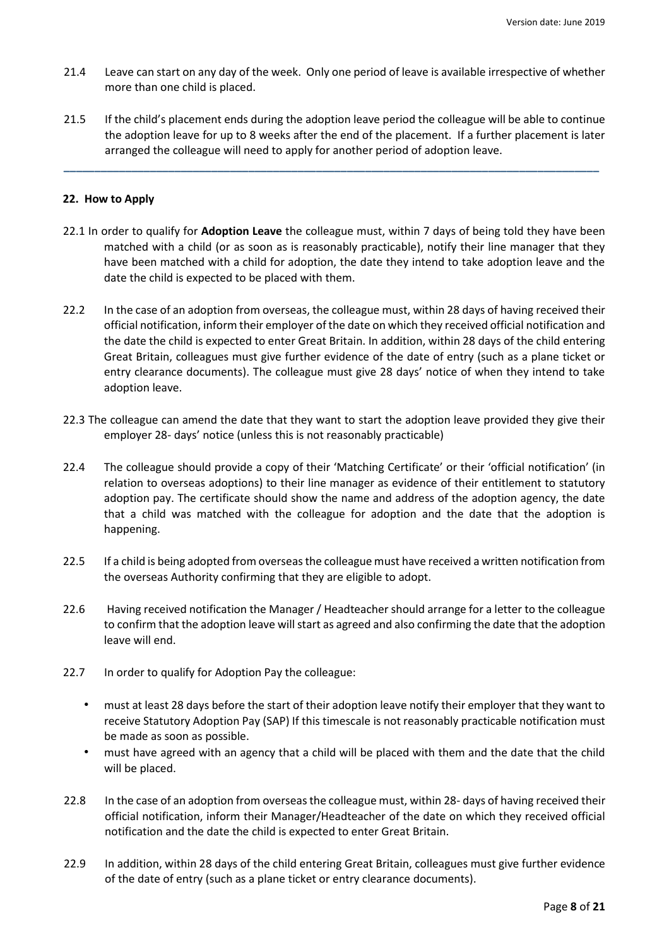- 21.4 Leave can start on any day of the week. Only one period of leave is available irrespective of whether more than one child is placed.
- 21.5 If the child's placement ends during the adoption leave period the colleague will be able to continue the adoption leave for up to 8 weeks after the end of the placement. If a further placement is later arranged the colleague will need to apply for another period of adoption leave.

**\_\_\_\_\_\_\_\_\_\_\_\_\_\_\_\_\_\_\_\_\_\_\_\_\_\_\_\_\_\_\_\_\_\_\_\_\_\_\_\_\_\_\_\_\_\_\_\_\_\_\_\_\_\_\_\_\_\_\_\_\_\_\_\_\_\_\_\_\_\_\_\_\_\_\_\_\_\_\_\_\_\_\_\_\_\_\_**

## **22. How to Apply**

- 22.1 In order to qualify for **Adoption Leave** the colleague must, within 7 days of being told they have been matched with a child (or as soon as is reasonably practicable), notify their line manager that they have been matched with a child for adoption, the date they intend to take adoption leave and the date the child is expected to be placed with them.
- 22.2 In the case of an adoption from overseas, the colleague must, within 28 days of having received their official notification, inform their employer of the date on which they received official notification and the date the child is expected to enter Great Britain. In addition, within 28 days of the child entering Great Britain, colleagues must give further evidence of the date of entry (such as a plane ticket or entry clearance documents). The colleague must give 28 days' notice of when they intend to take adoption leave.
- 22.3 The colleague can amend the date that they want to start the adoption leave provided they give their employer 28- days' notice (unless this is not reasonably practicable)
- 22.4 The colleague should provide a copy of their 'Matching Certificate' or their 'official notification' (in relation to overseas adoptions) to their line manager as evidence of their entitlement to statutory adoption pay. The certificate should show the name and address of the adoption agency, the date that a child was matched with the colleague for adoption and the date that the adoption is happening.
- 22.5 If a child is being adopted from overseas the colleague must have received a written notification from the overseas Authority confirming that they are eligible to adopt.
- 22.6 Having received notification the Manager / Headteacher should arrange for a letter to the colleague to confirm that the adoption leave will start as agreed and also confirming the date that the adoption leave will end.
- 22.7 In order to qualify for Adoption Pay the colleague:
	- must at least 28 days before the start of their adoption leave notify their employer that they want to receive Statutory Adoption Pay (SAP) If this timescale is not reasonably practicable notification must be made as soon as possible.
	- must have agreed with an agency that a child will be placed with them and the date that the child will be placed.
- 22.8 In the case of an adoption from overseas the colleague must, within 28- days of having received their official notification, inform their Manager/Headteacher of the date on which they received official notification and the date the child is expected to enter Great Britain.
- 22.9 In addition, within 28 days of the child entering Great Britain, colleagues must give further evidence of the date of entry (such as a plane ticket or entry clearance documents).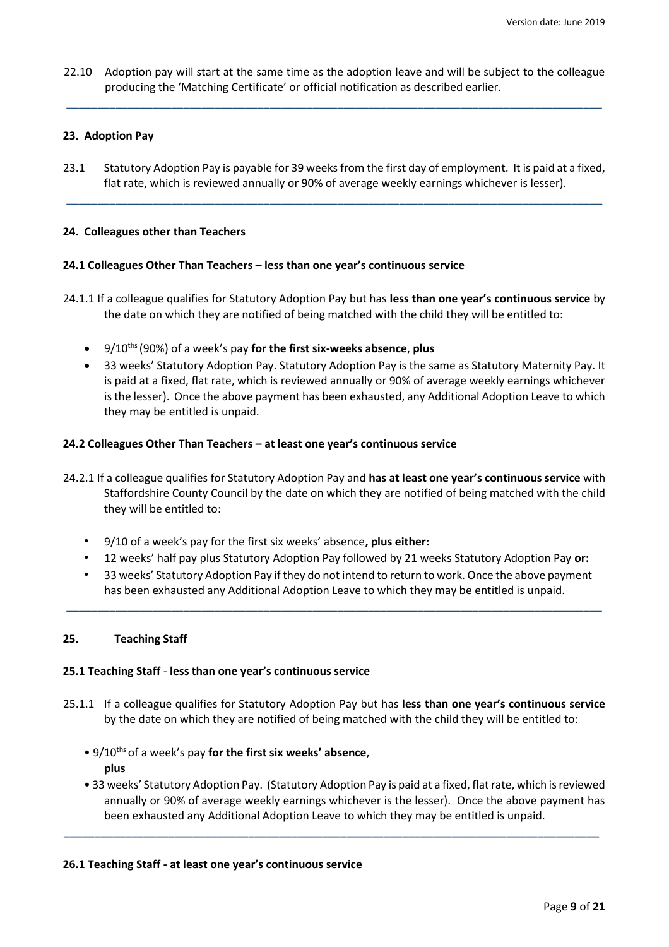22.10 Adoption pay will start at the same time as the adoption leave and will be subject to the colleague producing the 'Matching Certificate' or official notification as described earlier.

**\_\_\_\_\_\_\_\_\_\_\_\_\_\_\_\_\_\_\_\_\_\_\_\_\_\_\_\_\_\_\_\_\_\_\_\_\_\_\_\_\_\_\_\_\_\_\_\_\_\_\_\_\_\_\_\_\_\_\_\_\_\_\_\_\_\_\_\_\_\_\_\_\_\_\_\_\_\_\_\_\_\_\_\_\_\_\_**

# **23. Adoption Pay**

23.1 Statutory Adoption Pay is payable for 39 weeks from the first day of employment. It is paid at a fixed, flat rate, which is reviewed annually or 90% of average weekly earnings whichever is lesser).

**\_\_\_\_\_\_\_\_\_\_\_\_\_\_\_\_\_\_\_\_\_\_\_\_\_\_\_\_\_\_\_\_\_\_\_\_\_\_\_\_\_\_\_\_\_\_\_\_\_\_\_\_\_\_\_\_\_\_\_\_\_\_\_\_\_\_\_\_\_\_\_\_\_\_\_\_\_\_\_\_\_\_\_\_\_\_\_**

### **24. Colleagues other than Teachers**

#### **24.1 Colleagues Other Than Teachers – less than one year's continuous service**

- 24.1.1 If a colleague qualifies for Statutory Adoption Pay but has **less than one year's continuous service** by the date on which they are notified of being matched with the child they will be entitled to:
	- 9/10ths (90%) of a week's pay **for the first six-weeks absence**, **plus**
	- 33 weeks' Statutory Adoption Pay. Statutory Adoption Pay is the same as Statutory Maternity Pay. It is paid at a fixed, flat rate, which is reviewed annually or 90% of average weekly earnings whichever is the lesser). Once the above payment has been exhausted, any Additional Adoption Leave to which they may be entitled is unpaid.

#### **24.2 Colleagues Other Than Teachers – at least one year's continuous service**

- 24.2.1 If a colleague qualifies for Statutory Adoption Pay and **has at least one year's continuous service** with Staffordshire County Council by the date on which they are notified of being matched with the child they will be entitled to:
	- 9/10 of a week's pay for the first six weeks' absence**, plus either:**
	- 12 weeks' half pay plus Statutory Adoption Pay followed by 21 weeks Statutory Adoption Pay **or:**
	- 33 weeks' Statutory Adoption Pay if they do not intend to return to work. Once the above payment has been exhausted any Additional Adoption Leave to which they may be entitled is unpaid.

**\_\_\_\_\_\_\_\_\_\_\_\_\_\_\_\_\_\_\_\_\_\_\_\_\_\_\_\_\_\_\_\_\_\_\_\_\_\_\_\_\_\_\_\_\_\_\_\_\_\_\_\_\_\_\_\_\_\_\_\_\_\_\_\_\_\_\_\_\_\_\_\_\_\_\_\_\_\_\_\_\_\_\_\_\_\_\_**

### **25. Teaching Staff**

#### **25.1 Teaching Staff** - **less than one year's continuous service**

- 25.1.1 If a colleague qualifies for Statutory Adoption Pay but has **less than one year's continuous service** by the date on which they are notified of being matched with the child they will be entitled to:
	- 9/10ths of a week's pay **for the first six weeks' absence**, **plus**
	- 33 weeks' Statutory Adoption Pay. (Statutory Adoption Pay is paid at a fixed, flat rate, which is reviewed annually or 90% of average weekly earnings whichever is the lesser). Once the above payment has been exhausted any Additional Adoption Leave to which they may be entitled is unpaid.

**\_\_\_\_\_\_\_\_\_\_\_\_\_\_\_\_\_\_\_\_\_\_\_\_\_\_\_\_\_\_\_\_\_\_\_\_\_\_\_\_\_\_\_\_\_\_\_\_\_\_\_\_\_\_\_\_\_\_\_\_\_\_\_\_\_\_\_\_\_\_\_\_\_\_\_\_\_\_\_\_\_\_\_\_\_\_\_**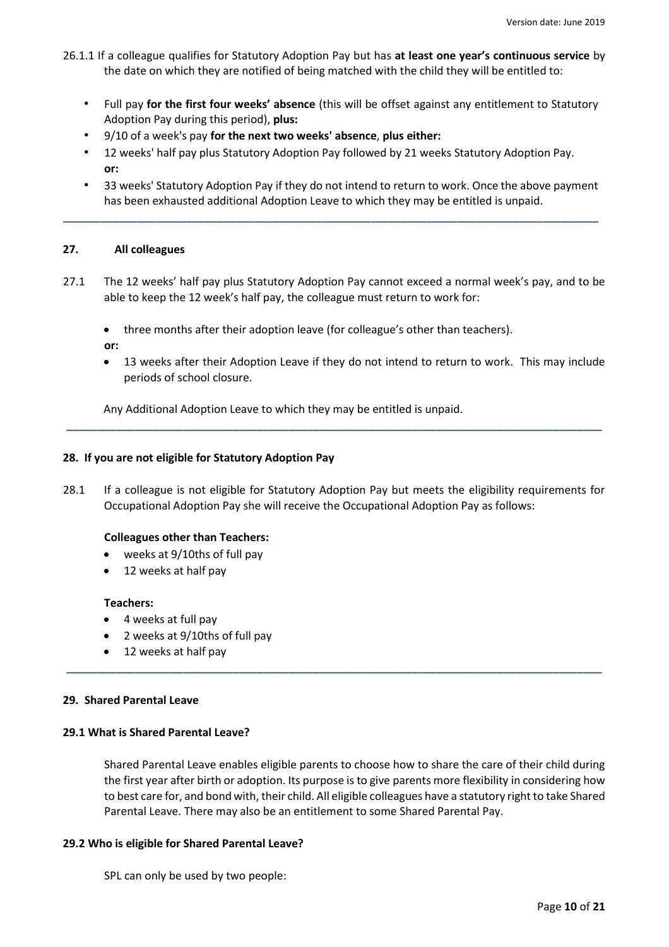- 26.1.1 If a colleague qualifies for Statutory Adoption Pay but has **at least one year's continuous service** by the date on which they are notified of being matched with the child they will be entitled to:
	- Full pay **for the first four weeks' absence** (this will be offset against any entitlement to Statutory Adoption Pay during this period), **plus:**
	- 9/10 of a week's pay **for the next two weeks' absence**, **plus either:**
	- 12 weeks' half pay plus Statutory Adoption Pay followed by 21 weeks Statutory Adoption Pay. **or:**

**\_\_\_\_\_\_\_\_\_\_\_\_\_\_\_\_\_\_\_\_\_\_\_\_\_\_\_\_\_\_\_\_\_\_\_\_\_\_\_\_\_\_\_\_\_\_\_\_\_\_\_\_\_\_\_\_\_\_\_\_\_\_\_\_\_\_\_\_\_\_\_\_\_\_\_\_\_\_\_\_\_\_\_\_\_\_\_**

• 33 weeks' Statutory Adoption Pay if they do not intend to return to work. Once the above payment has been exhausted additional Adoption Leave to which they may be entitled is unpaid.

#### **27. All colleagues**

- 27.1 The 12 weeks' half pay plus Statutory Adoption Pay cannot exceed a normal week's pay, and to be able to keep the 12 week's half pay, the colleague must return to work for:
	- three months after their adoption leave (for colleague's other than teachers).
	- **or:**
	- 13 weeks after their Adoption Leave if they do not intend to return to work. This may include periods of school closure.

Any Additional Adoption Leave to which they may be entitled is unpaid.

#### **28. If you are not eligible for Statutory Adoption Pay**

28.1 If a colleague is not eligible for Statutory Adoption Pay but meets the eligibility requirements for Occupational Adoption Pay she will receive the Occupational Adoption Pay as follows:

**\_\_\_\_\_\_\_\_\_\_\_\_\_\_\_\_\_\_\_\_\_\_\_\_\_\_\_\_\_\_\_\_\_\_\_\_\_\_\_\_\_\_\_\_\_\_\_\_\_\_\_\_\_\_\_\_\_\_\_\_\_\_\_\_\_\_\_\_\_\_\_\_\_\_\_\_\_\_\_\_\_\_\_\_\_\_\_**

**\_\_\_\_\_\_\_\_\_\_\_\_\_\_\_\_\_\_\_\_\_\_\_\_\_\_\_\_\_\_\_\_\_\_\_\_\_\_\_\_\_\_\_\_\_\_\_\_\_\_\_\_\_\_\_\_\_\_\_\_\_\_\_\_\_\_\_\_\_\_\_\_\_\_\_\_\_\_\_\_\_\_\_\_\_\_\_**

#### **Colleagues other than Teachers:**

- weeks at 9/10ths of full pay
- 12 weeks at half pay

#### **Teachers:**

- 4 weeks at full pay
- 2 weeks at 9/10ths of full pay
- 12 weeks at half pay

#### **29. Shared Parental Leave**

#### **29.1 What is Shared Parental Leave?**

Shared Parental Leave enables eligible parents to choose how to share the care of their child during the first year after birth or adoption. Its purpose is to give parents more flexibility in considering how to best care for, and bond with, their child. All eligible colleagues have a statutory right to take Shared Parental Leave. There may also be an entitlement to some Shared Parental Pay.

#### **29.2 Who is eligible for Shared Parental Leave?**

SPL can only be used by two people: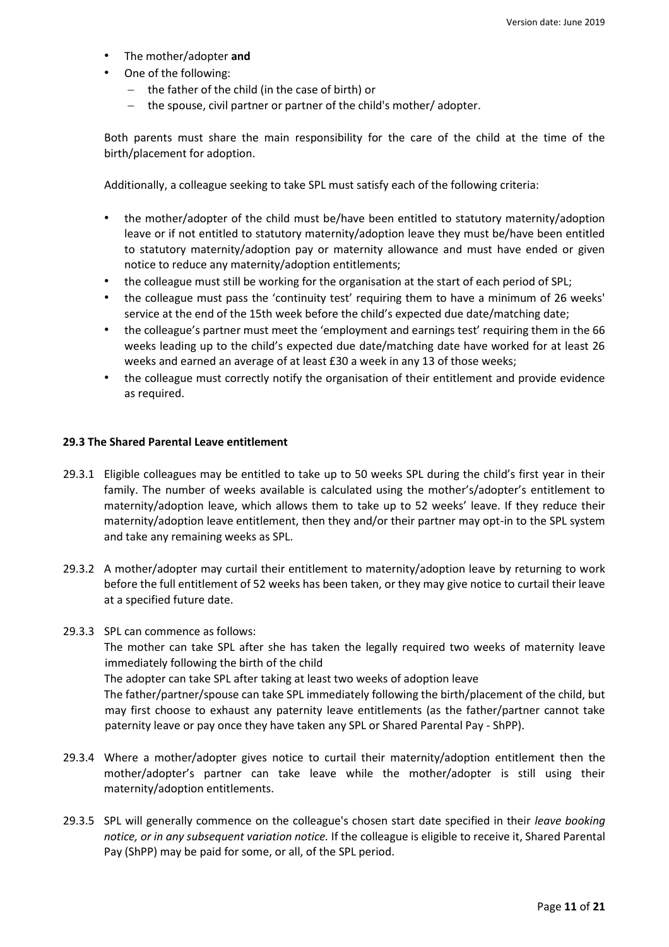- The mother/adopter **and**
- One of the following:
	- $-$  the father of the child (in the case of birth) or
	- $-$  the spouse, civil partner or partner of the child's mother/ adopter.

Both parents must share the main responsibility for the care of the child at the time of the birth/placement for adoption.

Additionally, a colleague seeking to take SPL must satisfy each of the following criteria:

- the mother/adopter of the child must be/have been entitled to statutory maternity/adoption leave or if not entitled to statutory maternity/adoption leave they must be/have been entitled to statutory maternity/adoption pay or maternity allowance and must have ended or given notice to reduce any maternity/adoption entitlements;
- the colleague must still be working for the organisation at the start of each period of SPL;
- the colleague must pass the 'continuity test' requiring them to have a minimum of 26 weeks' service at the end of the 15th week before the child's expected due date/matching date;
- the colleague's partner must meet the 'employment and earnings test' requiring them in the 66 weeks leading up to the child's expected due date/matching date have worked for at least 26 weeks and earned an average of at least £30 a week in any 13 of those weeks;
- the colleague must correctly notify the organisation of their entitlement and provide evidence as required.

#### **29.3 The Shared Parental Leave entitlement**

- 29.3.1 Eligible colleagues may be entitled to take up to 50 weeks SPL during the child's first year in their family. The number of weeks available is calculated using the mother's/adopter's entitlement to maternity/adoption leave, which allows them to take up to 52 weeks' leave. If they reduce their maternity/adoption leave entitlement, then they and/or their partner may opt-in to the SPL system and take any remaining weeks as SPL.
- 29.3.2 A mother/adopter may curtail their entitlement to maternity/adoption leave by returning to work before the full entitlement of 52 weeks has been taken, or they may give notice to curtail their leave at a specified future date.
- 29.3.3 SPL can commence as follows:

The mother can take SPL after she has taken the legally required two weeks of maternity leave immediately following the birth of the child

The adopter can take SPL after taking at least two weeks of adoption leave

The father/partner/spouse can take SPL immediately following the birth/placement of the child, but may first choose to exhaust any paternity leave entitlements (as the father/partner cannot take paternity leave or pay once they have taken any SPL or Shared Parental Pay - ShPP).

- 29.3.4 Where a mother/adopter gives notice to curtail their maternity/adoption entitlement then the mother/adopter's partner can take leave while the mother/adopter is still using their maternity/adoption entitlements.
- 29.3.5 SPL will generally commence on the colleague's chosen start date specified in their *leave booking notice, or in any subsequent variation notice.* If the colleague is eligible to receive it, Shared Parental Pay (ShPP) may be paid for some, or all, of the SPL period.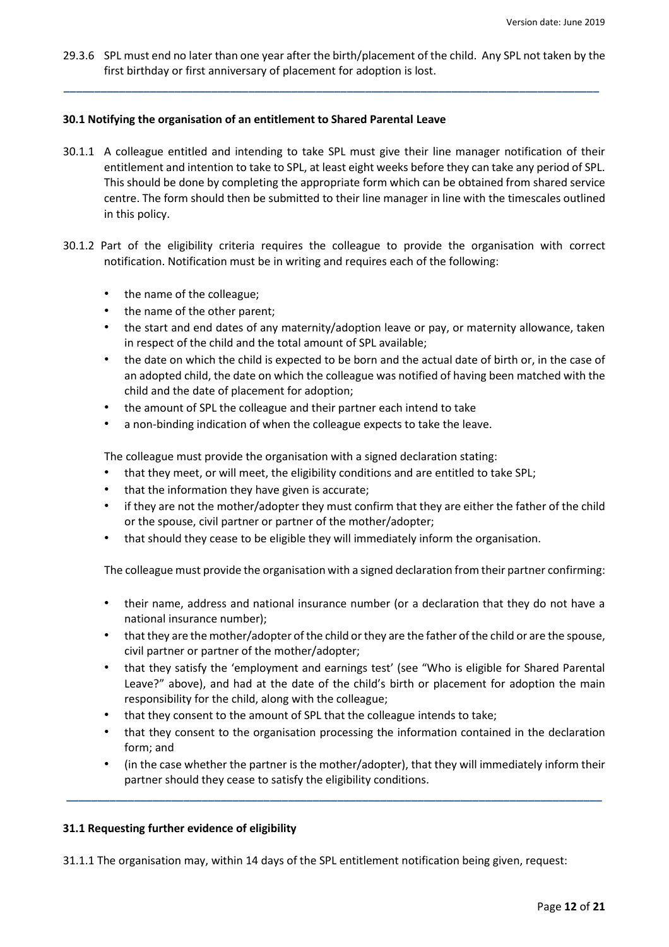29.3.6 SPL must end no later than one year after the birth/placement of the child. Any SPL not taken by the first birthday or first anniversary of placement for adoption is lost.

**\_\_\_\_\_\_\_\_\_\_\_\_\_\_\_\_\_\_\_\_\_\_\_\_\_\_\_\_\_\_\_\_\_\_\_\_\_\_\_\_\_\_\_\_\_\_\_\_\_\_\_\_\_\_\_\_\_\_\_\_\_\_\_\_\_\_\_\_\_\_\_\_\_\_\_\_\_\_\_\_\_\_\_\_\_\_\_**

## **30.1 Notifying the organisation of an entitlement to Shared Parental Leave**

- 30.1.1 A colleague entitled and intending to take SPL must give their line manager notification of their entitlement and intention to take to SPL, at least eight weeks before they can take any period of SPL. This should be done by completing the appropriate form which can be obtained from shared service centre. The form should then be submitted to their line manager in line with the timescales outlined in this policy.
- 30.1.2 Part of the eligibility criteria requires the colleague to provide the organisation with correct notification. Notification must be in writing and requires each of the following:
	- the name of the colleague;
	- the name of the other parent;
	- the start and end dates of any maternity/adoption leave or pay, or maternity allowance, taken in respect of the child and the total amount of SPL available;
	- the date on which the child is expected to be born and the actual date of birth or, in the case of an adopted child, the date on which the colleague was notified of having been matched with the child and the date of placement for adoption;
	- the amount of SPL the colleague and their partner each intend to take
	- a non-binding indication of when the colleague expects to take the leave.

The colleague must provide the organisation with a signed declaration stating:

- that they meet, or will meet, the eligibility conditions and are entitled to take SPL;
- that the information they have given is accurate;
- if they are not the mother/adopter they must confirm that they are either the father of the child or the spouse, civil partner or partner of the mother/adopter;
- that should they cease to be eligible they will immediately inform the organisation.

The colleague must provide the organisation with a signed declaration from their partner confirming:

- their name, address and national insurance number (or a declaration that they do not have a national insurance number);
- that they are the mother/adopter of the child or they are the father of the child or are the spouse, civil partner or partner of the mother/adopter;
- that they satisfy the 'employment and earnings test' (see "Who is eligible for Shared Parental Leave?" above), and had at the date of the child's birth or placement for adoption the main responsibility for the child, along with the colleague;
- that they consent to the amount of SPL that the colleague intends to take;
- that they consent to the organisation processing the information contained in the declaration form; and
- (in the case whether the partner is the mother/adopter), that they will immediately inform their partner should they cease to satisfy the eligibility conditions.

**\_\_\_\_\_\_\_\_\_\_\_\_\_\_\_\_\_\_\_\_\_\_\_\_\_\_\_\_\_\_\_\_\_\_\_\_\_\_\_\_\_\_\_\_\_\_\_\_\_\_\_\_\_\_\_\_\_\_\_\_\_\_\_\_\_\_\_\_\_\_\_\_\_\_\_\_\_\_\_\_\_\_\_\_\_\_\_**

# **31.1 Requesting further evidence of eligibility**

31.1.1 The organisation may, within 14 days of the SPL entitlement notification being given, request: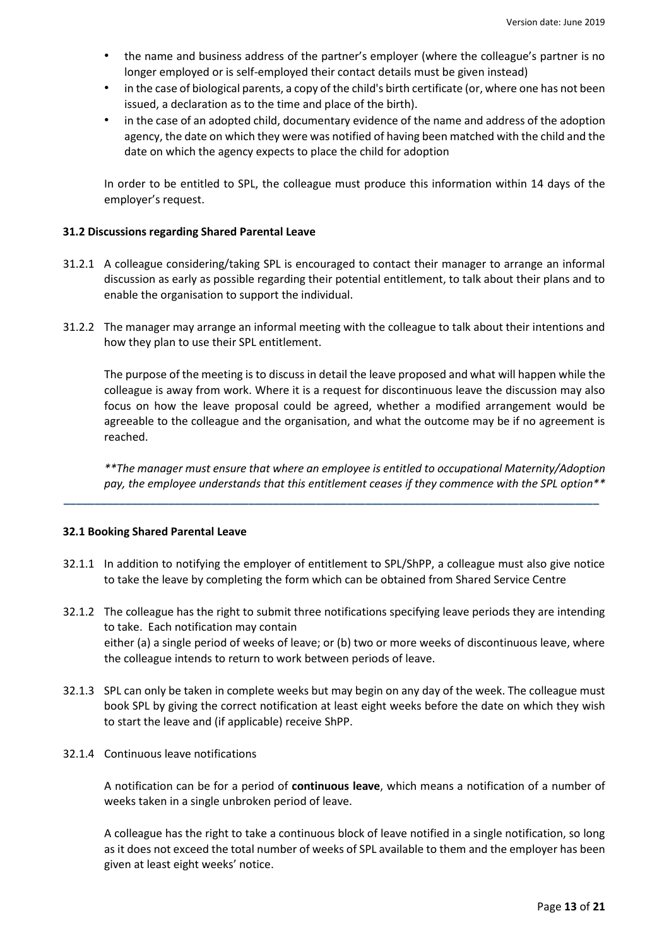- the name and business address of the partner's employer (where the colleague's partner is no longer employed or is self-employed their contact details must be given instead)
- in the case of biological parents, a copy of the child's birth certificate (or, where one has not been issued, a declaration as to the time and place of the birth).
- in the case of an adopted child, documentary evidence of the name and address of the adoption agency, the date on which they were was notified of having been matched with the child and the date on which the agency expects to place the child for adoption

In order to be entitled to SPL, the colleague must produce this information within 14 days of the employer's request.

### **31.2 Discussions regarding Shared Parental Leave**

- 31.2.1 A colleague considering/taking SPL is encouraged to contact their manager to arrange an informal discussion as early as possible regarding their potential entitlement, to talk about their plans and to enable the organisation to support the individual.
- 31.2.2 The manager may arrange an informal meeting with the colleague to talk about their intentions and how they plan to use their SPL entitlement.

The purpose of the meeting is to discuss in detail the leave proposed and what will happen while the colleague is away from work. Where it is a request for discontinuous leave the discussion may also focus on how the leave proposal could be agreed, whether a modified arrangement would be agreeable to the colleague and the organisation, and what the outcome may be if no agreement is reached.

*\*\*The manager must ensure that where an employee is entitled to occupational Maternity/Adoption pay, the employee understands that this entitlement ceases if they commence with the SPL option\*\** 

#### **32.1 Booking Shared Parental Leave**

32.1.1 In addition to notifying the employer of entitlement to SPL/ShPP, a colleague must also give notice to take the leave by completing the form which can be obtained from Shared Service Centre

**\_\_\_\_\_\_\_\_\_\_\_\_\_\_\_\_\_\_\_\_\_\_\_\_\_\_\_\_\_\_\_\_\_\_\_\_\_\_\_\_\_\_\_\_\_\_\_\_\_\_\_\_\_\_\_\_\_\_\_\_\_\_\_\_\_\_\_\_\_\_\_\_\_\_\_\_\_\_\_\_\_\_\_\_\_\_\_**

- 32.1.2 The colleague has the right to submit three notifications specifying leave periods they are intending to take. Each notification may contain either (a) a single period of weeks of leave; or (b) two or more weeks of discontinuous leave, where the colleague intends to return to work between periods of leave.
- 32.1.3 SPL can only be taken in complete weeks but may begin on any day of the week. The colleague must book SPL by giving the correct notification at least eight weeks before the date on which they wish to start the leave and (if applicable) receive ShPP.
- 32.1.4 Continuous leave notifications

A notification can be for a period of **continuous leave**, which means a notification of a number of weeks taken in a single unbroken period of leave.

A colleague has the right to take a continuous block of leave notified in a single notification, so long as it does not exceed the total number of weeks of SPL available to them and the employer has been given at least eight weeks' notice.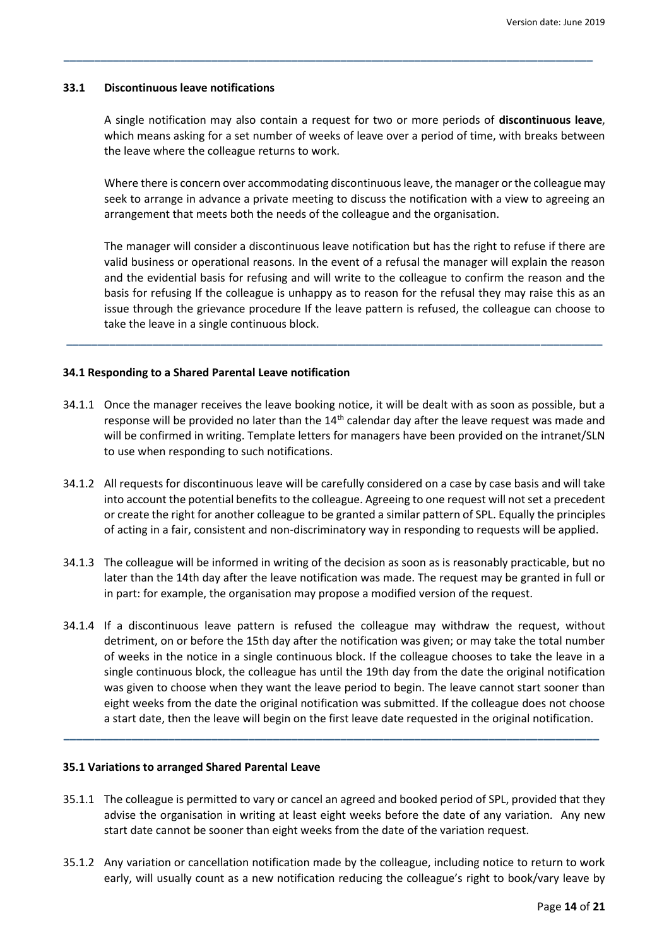#### **33.1 Discontinuous leave notifications**

A single notification may also contain a request for two or more periods of **discontinuous leave**, which means asking for a set number of weeks of leave over a period of time, with breaks between the leave where the colleague returns to work.

**\_\_\_\_\_\_\_\_\_\_\_\_\_\_\_\_\_\_\_\_\_\_\_\_\_\_\_\_\_\_\_\_\_\_\_\_\_\_\_\_\_\_\_\_\_\_\_\_\_\_\_\_\_\_\_\_\_\_\_\_\_\_\_\_\_\_\_\_\_\_\_\_\_\_\_\_\_\_\_\_\_\_\_\_\_\_**

Where there is concern over accommodating discontinuous leave, the manager or the colleague may seek to arrange in advance a private meeting to discuss the notification with a view to agreeing an arrangement that meets both the needs of the colleague and the organisation.

The manager will consider a discontinuous leave notification but has the right to refuse if there are valid business or operational reasons. In the event of a refusal the manager will explain the reason and the evidential basis for refusing and will write to the colleague to confirm the reason and the basis for refusing If the colleague is unhappy as to reason for the refusal they may raise this as an issue through the grievance procedure If the leave pattern is refused, the colleague can choose to take the leave in a single continuous block.

#### **34.1 Responding to a Shared Parental Leave notification**

34.1.1 Once the manager receives the leave booking notice, it will be dealt with as soon as possible, but a response will be provided no later than the  $14<sup>th</sup>$  calendar day after the leave request was made and will be confirmed in writing. Template letters for managers have been provided on the intranet/SLN to use when responding to such notifications.

**\_\_\_\_\_\_\_\_\_\_\_\_\_\_\_\_\_\_\_\_\_\_\_\_\_\_\_\_\_\_\_\_\_\_\_\_\_\_\_\_\_\_\_\_\_\_\_\_\_\_\_\_\_\_\_\_\_\_\_\_\_\_\_\_\_\_\_\_\_\_\_\_\_\_\_\_\_\_\_\_\_\_\_\_\_\_\_**

- 34.1.2 All requests for discontinuous leave will be carefully considered on a case by case basis and will take into account the potential benefits to the colleague. Agreeing to one request will not set a precedent or create the right for another colleague to be granted a similar pattern of SPL. Equally the principles of acting in a fair, consistent and non-discriminatory way in responding to requests will be applied.
- 34.1.3 The colleague will be informed in writing of the decision as soon as is reasonably practicable, but no later than the 14th day after the leave notification was made. The request may be granted in full or in part: for example, the organisation may propose a modified version of the request.
- 34.1.4 If a discontinuous leave pattern is refused the colleague may withdraw the request, without detriment, on or before the 15th day after the notification was given; or may take the total number of weeks in the notice in a single continuous block. If the colleague chooses to take the leave in a single continuous block, the colleague has until the 19th day from the date the original notification was given to choose when they want the leave period to begin. The leave cannot start sooner than eight weeks from the date the original notification was submitted. If the colleague does not choose a start date, then the leave will begin on the first leave date requested in the original notification.

**\_\_\_\_\_\_\_\_\_\_\_\_\_\_\_\_\_\_\_\_\_\_\_\_\_\_\_\_\_\_\_\_\_\_\_\_\_\_\_\_\_\_\_\_\_\_\_\_\_\_\_\_\_\_\_\_\_\_\_\_\_\_\_\_\_\_\_\_\_\_\_\_\_\_\_\_\_\_\_\_\_\_\_\_\_\_\_**

#### **35.1 Variations to arranged Shared Parental Leave**

- 35.1.1 The colleague is permitted to vary or cancel an agreed and booked period of SPL, provided that they advise the organisation in writing at least eight weeks before the date of any variation*.* Any new start date cannot be sooner than eight weeks from the date of the variation request.
- 35.1.2 Any variation or cancellation notification made by the colleague, including notice to return to work early, will usually count as a new notification reducing the colleague's right to book/vary leave by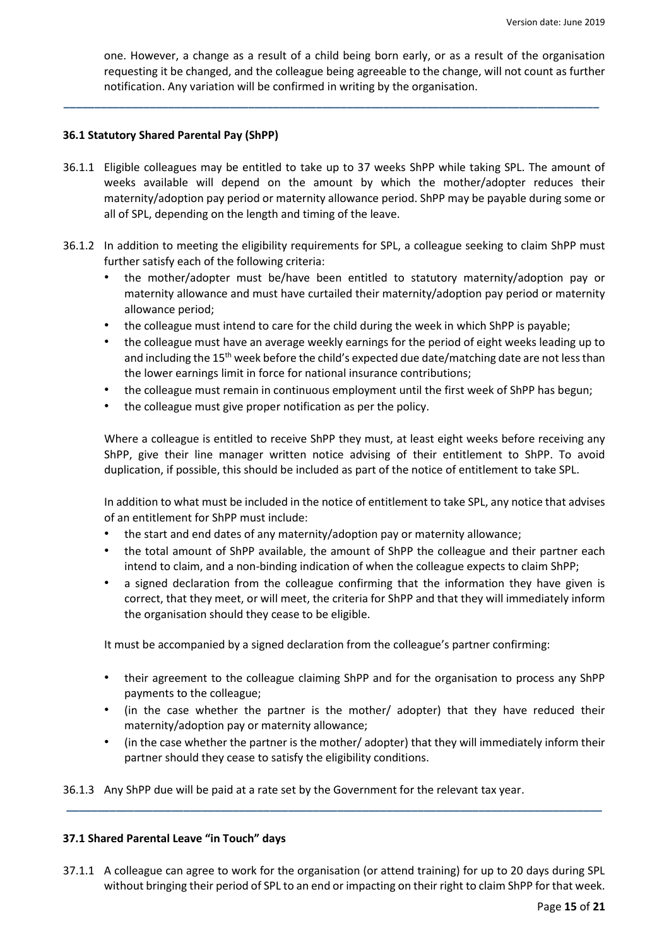one. However, a change as a result of a child being born early, or as a result of the organisation requesting it be changed, and the colleague being agreeable to the change, will not count as further notification. Any variation will be confirmed in writing by the organisation.

## **36.1 Statutory Shared Parental Pay (ShPP)**

36.1.1 Eligible colleagues may be entitled to take up to 37 weeks ShPP while taking SPL. The amount of weeks available will depend on the amount by which the mother/adopter reduces their maternity/adoption pay period or maternity allowance period. ShPP may be payable during some or all of SPL, depending on the length and timing of the leave.

**\_\_\_\_\_\_\_\_\_\_\_\_\_\_\_\_\_\_\_\_\_\_\_\_\_\_\_\_\_\_\_\_\_\_\_\_\_\_\_\_\_\_\_\_\_\_\_\_\_\_\_\_\_\_\_\_\_\_\_\_\_\_\_\_\_\_\_\_\_\_\_\_\_\_\_\_\_\_\_\_\_\_\_\_\_\_\_**

- 36.1.2 In addition to meeting the eligibility requirements for SPL, a colleague seeking to claim ShPP must further satisfy each of the following criteria:
	- the mother/adopter must be/have been entitled to statutory maternity/adoption pay or maternity allowance and must have curtailed their maternity/adoption pay period or maternity allowance period;
	- the colleague must intend to care for the child during the week in which ShPP is payable;
	- the colleague must have an average weekly earnings for the period of eight weeks leading up to and including the 15<sup>th</sup> week before the child's expected due date/matching date are not less than the lower earnings limit in force for national insurance contributions;
	- the colleague must remain in continuous employment until the first week of ShPP has begun;
	- the colleague must give proper notification as per the policy.

Where a colleague is entitled to receive ShPP they must, at least eight weeks before receiving any ShPP, give their line manager written notice advising of their entitlement to ShPP. To avoid duplication, if possible, this should be included as part of the notice of entitlement to take SPL.

In addition to what must be included in the notice of entitlement to take SPL, any notice that advises of an entitlement for ShPP must include:

- the start and end dates of any maternity/adoption pay or maternity allowance;
- the total amount of ShPP available, the amount of ShPP the colleague and their partner each intend to claim, and a non-binding indication of when the colleague expects to claim ShPP;
- a signed declaration from the colleague confirming that the information they have given is correct, that they meet, or will meet, the criteria for ShPP and that they will immediately inform the organisation should they cease to be eligible.

It must be accompanied by a signed declaration from the colleague's partner confirming:

- their agreement to the colleague claiming ShPP and for the organisation to process any ShPP payments to the colleague;
- (in the case whether the partner is the mother/ adopter) that they have reduced their maternity/adoption pay or maternity allowance;
- (in the case whether the partner is the mother/ adopter) that they will immediately inform their partner should they cease to satisfy the eligibility conditions.

36.1.3 Any ShPP due will be paid at a rate set by the Government for the relevant tax year.

#### **37.1 Shared Parental Leave "in Touch" days**

37.1.1 A colleague can agree to work for the organisation (or attend training) for up to 20 days during SPL without bringing their period of SPL to an end or impacting on their right to claim ShPP for that week.

**\_\_\_\_\_\_\_\_\_\_\_\_\_\_\_\_\_\_\_\_\_\_\_\_\_\_\_\_\_\_\_\_\_\_\_\_\_\_\_\_\_\_\_\_\_\_\_\_\_\_\_\_\_\_\_\_\_\_\_\_\_\_\_\_\_\_\_\_\_\_\_\_\_\_\_\_\_\_\_\_\_\_\_\_\_\_\_**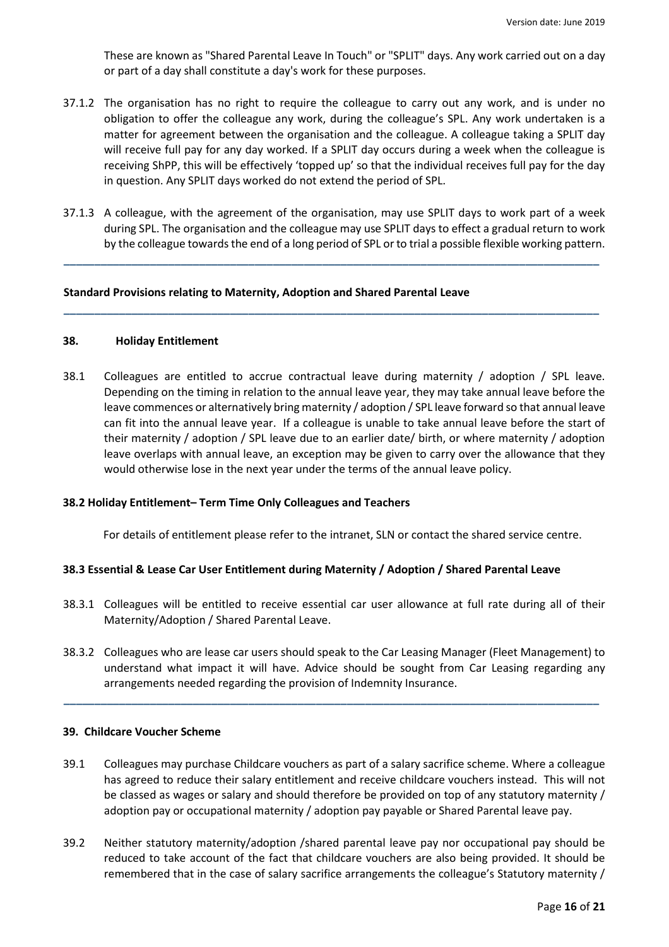These are known as "Shared Parental Leave In Touch" or "SPLIT" days. Any work carried out on a day or part of a day shall constitute a day's work for these purposes.

- 37.1.2 The organisation has no right to require the colleague to carry out any work, and is under no obligation to offer the colleague any work, during the colleague's SPL. Any work undertaken is a matter for agreement between the organisation and the colleague. A colleague taking a SPLIT day will receive full pay for any day worked. If a SPLIT day occurs during a week when the colleague is receiving ShPP, this will be effectively 'topped up' so that the individual receives full pay for the day in question. Any SPLIT days worked do not extend the period of SPL.
- 37.1.3 A colleague, with the agreement of the organisation, may use SPLIT days to work part of a week during SPL. The organisation and the colleague may use SPLIT days to effect a gradual return to work by the colleague towards the end of a long period of SPL or to trial a possible flexible working pattern.

**\_\_\_\_\_\_\_\_\_\_\_\_\_\_\_\_\_\_\_\_\_\_\_\_\_\_\_\_\_\_\_\_\_\_\_\_\_\_\_\_\_\_\_\_\_\_\_\_\_\_\_\_\_\_\_\_\_\_\_\_\_\_\_\_\_\_\_\_\_\_\_\_\_\_\_\_\_\_\_\_\_\_\_\_\_\_\_**

**\_\_\_\_\_\_\_\_\_\_\_\_\_\_\_\_\_\_\_\_\_\_\_\_\_\_\_\_\_\_\_\_\_\_\_\_\_\_\_\_\_\_\_\_\_\_\_\_\_\_\_\_\_\_\_\_\_\_\_\_\_\_\_\_\_\_\_\_\_\_\_\_\_\_\_\_\_\_\_\_\_\_\_\_\_\_\_**

#### **Standard Provisions relating to Maternity, Adoption and Shared Parental Leave**

#### **38. Holiday Entitlement**

38.1 Colleagues are entitled to accrue contractual leave during maternity / adoption / SPL leave. Depending on the timing in relation to the annual leave year, they may take annual leave before the leave commences or alternatively bring maternity / adoption / SPL leave forward so that annual leave can fit into the annual leave year. If a colleague is unable to take annual leave before the start of their maternity / adoption / SPL leave due to an earlier date/ birth, or where maternity / adoption leave overlaps with annual leave, an exception may be given to carry over the allowance that they would otherwise lose in the next year under the terms of the annual leave policy.

#### **38.2 Holiday Entitlement– Term Time Only Colleagues and Teachers**

For details of entitlement please refer to the intranet, SLN or contact the shared service centre.

# **38.3 Essential & Lease Car User Entitlement during Maternity / Adoption / Shared Parental Leave**

- 38.3.1 Colleagues will be entitled to receive essential car user allowance at full rate during all of their Maternity/Adoption / Shared Parental Leave.
- 38.3.2 Colleagues who are lease car users should speak to the Car Leasing Manager (Fleet Management) to understand what impact it will have. Advice should be sought from Car Leasing regarding any arrangements needed regarding the provision of Indemnity Insurance.

**\_\_\_\_\_\_\_\_\_\_\_\_\_\_\_\_\_\_\_\_\_\_\_\_\_\_\_\_\_\_\_\_\_\_\_\_\_\_\_\_\_\_\_\_\_\_\_\_\_\_\_\_\_\_\_\_\_\_\_\_\_\_\_\_\_\_\_\_\_\_\_\_\_\_\_\_\_\_\_\_\_\_\_\_\_\_\_**

# **39. Childcare Voucher Scheme**

- 39.1 Colleagues may purchase Childcare vouchers as part of a salary sacrifice scheme. Where a colleague has agreed to reduce their salary entitlement and receive childcare vouchers instead. This will not be classed as wages or salary and should therefore be provided on top of any statutory maternity / adoption pay or occupational maternity / adoption pay payable or Shared Parental leave pay.
- 39.2 Neither statutory maternity/adoption /shared parental leave pay nor occupational pay should be reduced to take account of the fact that childcare vouchers are also being provided. It should be remembered that in the case of salary sacrifice arrangements the colleague's Statutory maternity /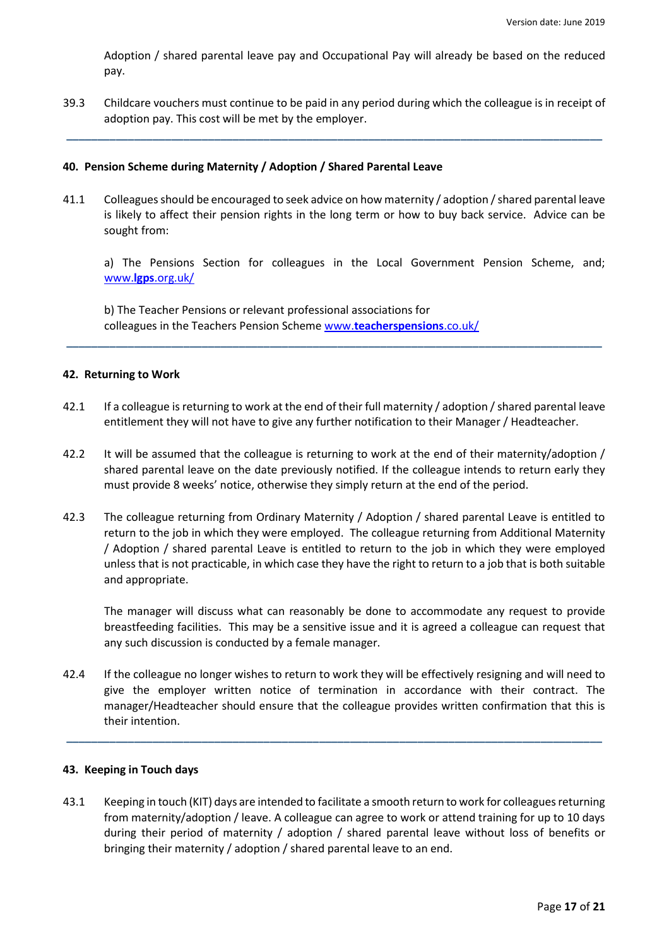Adoption / shared parental leave pay and Occupational Pay will already be based on the reduced pay.

39.3 Childcare vouchers must continue to be paid in any period during which the colleague is in receipt of adoption pay. This cost will be met by the employer.

**\_\_\_\_\_\_\_\_\_\_\_\_\_\_\_\_\_\_\_\_\_\_\_\_\_\_\_\_\_\_\_\_\_\_\_\_\_\_\_\_\_\_\_\_\_\_\_\_\_\_\_\_\_\_\_\_\_\_\_\_\_\_\_\_\_\_\_\_\_\_\_\_\_\_\_\_\_\_\_\_\_\_\_\_\_\_\_**

#### **40. Pension Scheme during Maternity / Adoption / Shared Parental Leave**

41.1 Colleagues should be encouraged to seek advice on how maternity / adoption / shared parental leave is likely to affect their pension rights in the long term or how to buy back service. Advice can be sought from:

a) The Pensions Section for colleagues in the Local Government Pension Scheme, and; www.**lgps**.org.uk/

b) The Teacher Pensions or relevant professional associations for colleagues in the Teachers Pension Scheme www.**teacherspensions**.co.uk/

#### **42. Returning to Work**

42.1 If a colleague is returning to work at the end of their full maternity / adoption / shared parental leave entitlement they will not have to give any further notification to their Manager / Headteacher.

**\_\_\_\_\_\_\_\_\_\_\_\_\_\_\_\_\_\_\_\_\_\_\_\_\_\_\_\_\_\_\_\_\_\_\_\_\_\_\_\_\_\_\_\_\_\_\_\_\_\_\_\_\_\_\_\_\_\_\_\_\_\_\_\_\_\_\_\_\_\_\_\_\_\_\_\_\_\_\_\_\_\_\_\_\_\_\_**

- 42.2 It will be assumed that the colleague is returning to work at the end of their maternity/adoption / shared parental leave on the date previously notified. If the colleague intends to return early they must provide 8 weeks' notice, otherwise they simply return at the end of the period.
- 42.3 The colleague returning from Ordinary Maternity / Adoption / shared parental Leave is entitled to return to the job in which they were employed. The colleague returning from Additional Maternity / Adoption / shared parental Leave is entitled to return to the job in which they were employed unless that is not practicable, in which case they have the right to return to a job that is both suitable and appropriate.

The manager will discuss what can reasonably be done to accommodate any request to provide breastfeeding facilities. This may be a sensitive issue and it is agreed a colleague can request that any such discussion is conducted by a female manager.

42.4 If the colleague no longer wishes to return to work they will be effectively resigning and will need to give the employer written notice of termination in accordance with their contract. The manager/Headteacher should ensure that the colleague provides written confirmation that this is their intention.

**\_\_\_\_\_\_\_\_\_\_\_\_\_\_\_\_\_\_\_\_\_\_\_\_\_\_\_\_\_\_\_\_\_\_\_\_\_\_\_\_\_\_\_\_\_\_\_\_\_\_\_\_\_\_\_\_\_\_\_\_\_\_\_\_\_\_\_\_\_\_\_\_\_\_\_\_\_\_\_\_\_\_\_\_\_\_\_**

#### **43. Keeping in Touch days**

43.1 Keeping in touch (KIT) days are intended to facilitate a smooth return to work for colleagues returning from maternity/adoption / leave. A colleague can agree to work or attend training for up to 10 days during their period of maternity / adoption / shared parental leave without loss of benefits or bringing their maternity / adoption / shared parental leave to an end.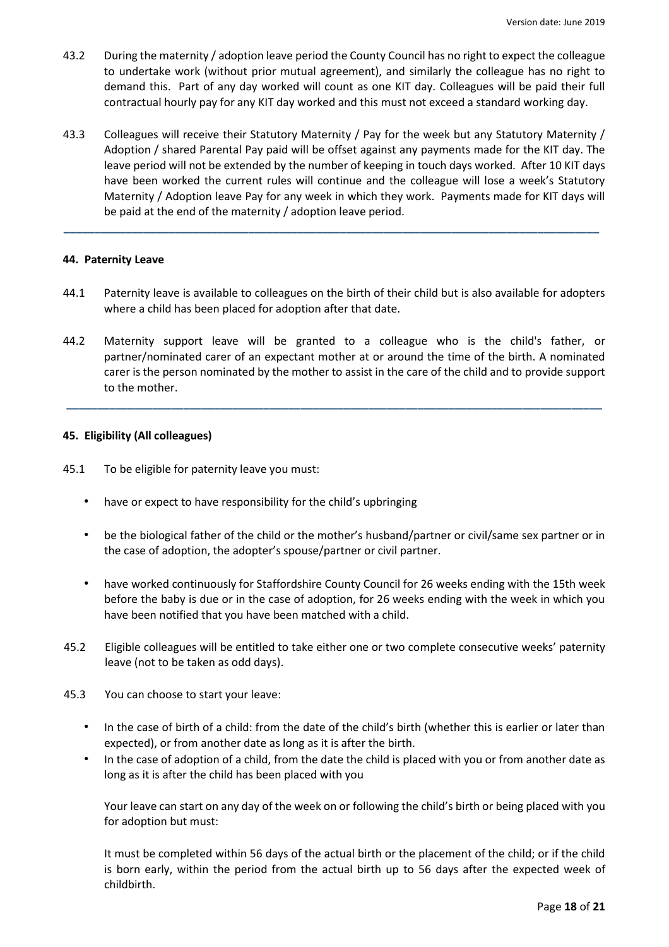- 43.2 During the maternity / adoption leave period the County Council has no right to expect the colleague to undertake work (without prior mutual agreement), and similarly the colleague has no right to demand this. Part of any day worked will count as one KIT day. Colleagues will be paid their full contractual hourly pay for any KIT day worked and this must not exceed a standard working day.
- 43.3 Colleagues will receive their Statutory Maternity / Pay for the week but any Statutory Maternity / Adoption / shared Parental Pay paid will be offset against any payments made for the KIT day. The leave period will not be extended by the number of keeping in touch days worked. After 10 KIT days have been worked the current rules will continue and the colleague will lose a week's Statutory Maternity / Adoption leave Pay for any week in which they work. Payments made for KIT days will be paid at the end of the maternity / adoption leave period.

**\_\_\_\_\_\_\_\_\_\_\_\_\_\_\_\_\_\_\_\_\_\_\_\_\_\_\_\_\_\_\_\_\_\_\_\_\_\_\_\_\_\_\_\_\_\_\_\_\_\_\_\_\_\_\_\_\_\_\_\_\_\_\_\_\_\_\_\_\_\_\_\_\_\_\_\_\_\_\_\_\_\_\_\_\_\_\_**

## **44. Paternity Leave**

- 44.1 Paternity leave is available to colleagues on the birth of their child but is also available for adopters where a child has been placed for adoption after that date.
- 44.2 Maternity support leave will be granted to a colleague who is the child's father, or partner/nominated carer of an expectant mother at or around the time of the birth. A nominated carer is the person nominated by the mother to assist in the care of the child and to provide support to the mother.

**\_\_\_\_\_\_\_\_\_\_\_\_\_\_\_\_\_\_\_\_\_\_\_\_\_\_\_\_\_\_\_\_\_\_\_\_\_\_\_\_\_\_\_\_\_\_\_\_\_\_\_\_\_\_\_\_\_\_\_\_\_\_\_\_\_\_\_\_\_\_\_\_\_\_\_\_\_\_\_\_\_\_\_\_\_\_\_**

## **45. Eligibility (All colleagues)**

- 45.1 To be eligible for paternity leave you must:
	- have or expect to have responsibility for the child's upbringing
	- be the biological father of the child or the mother's husband/partner or civil/same sex partner or in the case of adoption, the adopter's spouse/partner or civil partner.
	- have worked continuously for Staffordshire County Council for 26 weeks ending with the 15th week before the baby is due or in the case of adoption, for 26 weeks ending with the week in which you have been notified that you have been matched with a child.
- 45.2 Eligible colleagues will be entitled to take either one or two complete consecutive weeks' paternity leave (not to be taken as odd days).
- 45.3 You can choose to start your leave:
	- In the case of birth of a child: from the date of the child's birth (whether this is earlier or later than expected), or from another date as long as it is after the birth.
	- In the case of adoption of a child, from the date the child is placed with you or from another date as long as it is after the child has been placed with you

Your leave can start on any day of the week on or following the child's birth or being placed with you for adoption but must:

It must be completed within 56 days of the actual birth or the placement of the child; or if the child is born early, within the period from the actual birth up to 56 days after the expected week of childbirth.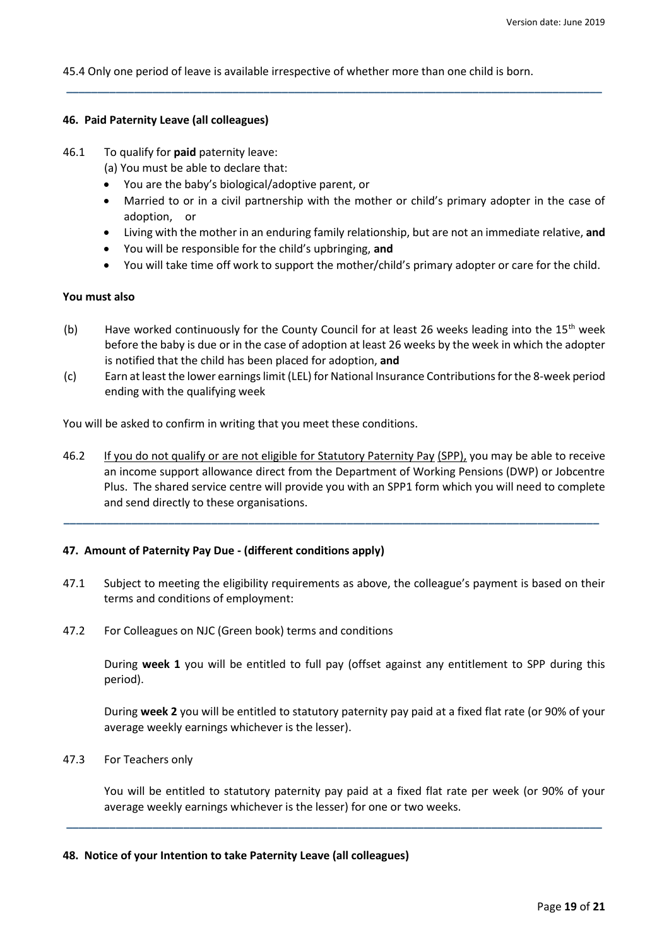45.4 Only one period of leave is available irrespective of whether more than one child is born.

**\_\_\_\_\_\_\_\_\_\_\_\_\_\_\_\_\_\_\_\_\_\_\_\_\_\_\_\_\_\_\_\_\_\_\_\_\_\_\_\_\_\_\_\_\_\_\_\_\_\_\_\_\_\_\_\_\_\_\_\_\_\_\_\_\_\_\_\_\_\_\_\_\_\_\_\_\_\_\_\_\_\_\_\_\_\_\_**

## **46. Paid Paternity Leave (all colleagues)**

- 46.1 To qualify for **paid** paternity leave:
	- (a) You must be able to declare that:
	- You are the baby's biological/adoptive parent, or
	- Married to or in a civil partnership with the mother or child's primary adopter in the case of adoption, or
	- Living with the mother in an enduring family relationship, but are not an immediate relative, **and**
	- You will be responsible for the child's upbringing, **and**
	- You will take time off work to support the mother/child's primary adopter or care for the child.

## **You must also**

- (b) Have worked continuously for the County Council for at least 26 weeks leading into the 15<sup>th</sup> week before the baby is due or in the case of adoption at least 26 weeks by the week in which the adopter is notified that the child has been placed for adoption, **and**
- (c) Earn at least the lower earnings limit (LEL) for National Insurance Contributions for the 8-week period ending with the qualifying week

You will be asked to confirm in writing that you meet these conditions.

46.2 If you do not qualify or are not eligible for Statutory Paternity Pay (SPP), you may be able to receive an income support allowance direct from the Department of Working Pensions (DWP) or Jobcentre Plus. The shared service centre will provide you with an SPP1 form which you will need to complete and send directly to these organisations.

**\_\_\_\_\_\_\_\_\_\_\_\_\_\_\_\_\_\_\_\_\_\_\_\_\_\_\_\_\_\_\_\_\_\_\_\_\_\_\_\_\_\_\_\_\_\_\_\_\_\_\_\_\_\_\_\_\_\_\_\_\_\_\_\_\_\_\_\_\_\_\_\_\_\_\_\_\_\_\_\_\_\_\_\_\_\_\_**

# **47. Amount of Paternity Pay Due - (different conditions apply)**

- 47.1 Subject to meeting the eligibility requirements as above, the colleague's payment is based on their terms and conditions of employment:
- 47.2 For Colleagues on NJC (Green book) terms and conditions

During **week 1** you will be entitled to full pay (offset against any entitlement to SPP during this period).

During **week 2** you will be entitled to statutory paternity pay paid at a fixed flat rate (or 90% of your average weekly earnings whichever is the lesser).

47.3 For Teachers only

You will be entitled to statutory paternity pay paid at a fixed flat rate per week (or 90% of your average weekly earnings whichever is the lesser) for one or two weeks.

**\_\_\_\_\_\_\_\_\_\_\_\_\_\_\_\_\_\_\_\_\_\_\_\_\_\_\_\_\_\_\_\_\_\_\_\_\_\_\_\_\_\_\_\_\_\_\_\_\_\_\_\_\_\_\_\_\_\_\_\_\_\_\_\_\_\_\_\_\_\_\_\_\_\_\_\_\_\_\_\_\_\_\_\_\_\_\_**

## **48. Notice of your Intention to take Paternity Leave (all colleagues)**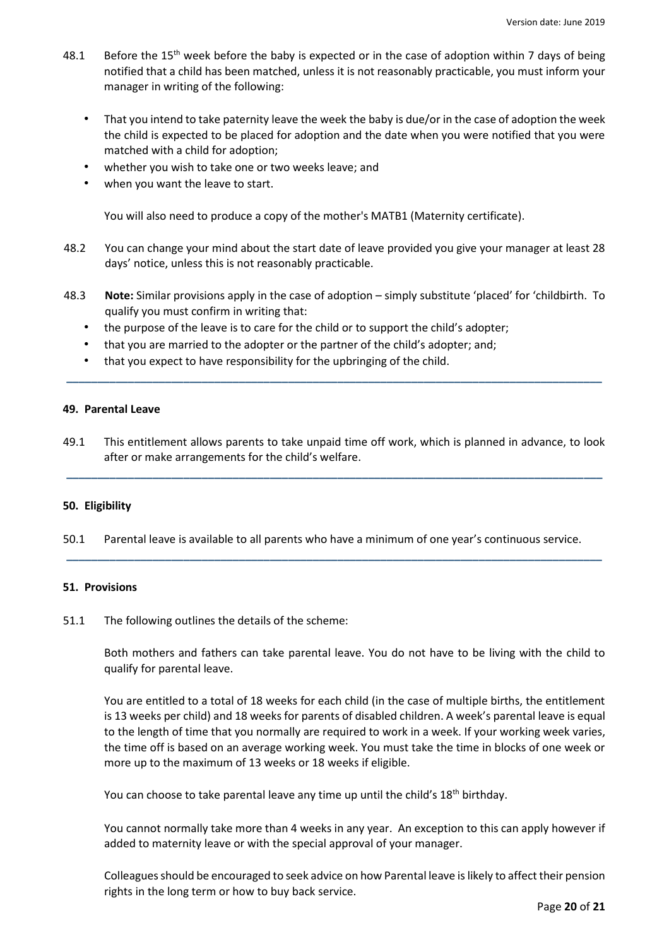- 48.1 Before the 15<sup>th</sup> week before the baby is expected or in the case of adoption within 7 days of being notified that a child has been matched, unless it is not reasonably practicable, you must inform your manager in writing of the following:
	- That you intend to take paternity leave the week the baby is due/or in the case of adoption the week the child is expected to be placed for adoption and the date when you were notified that you were matched with a child for adoption;
	- whether you wish to take one or two weeks leave; and
	- when you want the leave to start.

You will also need to produce a copy of the mother's MATB1 (Maternity certificate).

- 48.2 You can change your mind about the start date of leave provided you give your manager at least 28 days' notice, unless this is not reasonably practicable.
- 48.3 **Note:** Similar provisions apply in the case of adoption simply substitute 'placed' for 'childbirth. To qualify you must confirm in writing that:
	- the purpose of the leave is to care for the child or to support the child's adopter;
	- that you are married to the adopter or the partner of the child's adopter; and;
	- that you expect to have responsibility for the upbringing of the child.

## **49. Parental Leave**

49.1 This entitlement allows parents to take unpaid time off work, which is planned in advance, to look after or make arrangements for the child's welfare.

**\_\_\_\_\_\_\_\_\_\_\_\_\_\_\_\_\_\_\_\_\_\_\_\_\_\_\_\_\_\_\_\_\_\_\_\_\_\_\_\_\_\_\_\_\_\_\_\_\_\_\_\_\_\_\_\_\_\_\_\_\_\_\_\_\_\_\_\_\_\_\_\_\_\_\_\_\_\_\_\_\_\_\_\_\_\_\_**

**\_\_\_\_\_\_\_\_\_\_\_\_\_\_\_\_\_\_\_\_\_\_\_\_\_\_\_\_\_\_\_\_\_\_\_\_\_\_\_\_\_\_\_\_\_\_\_\_\_\_\_\_\_\_\_\_\_\_\_\_\_\_\_\_\_\_\_\_\_\_\_\_\_\_\_\_\_\_\_\_\_\_\_\_\_\_\_**

# **50. Eligibility**

50.1 Parental leave is available to all parents who have a minimum of one year's continuous service.

**\_\_\_\_\_\_\_\_\_\_\_\_\_\_\_\_\_\_\_\_\_\_\_\_\_\_\_\_\_\_\_\_\_\_\_\_\_\_\_\_\_\_\_\_\_\_\_\_\_\_\_\_\_\_\_\_\_\_\_\_\_\_\_\_\_\_\_\_\_\_\_\_\_\_\_\_\_\_\_\_\_\_\_\_\_\_\_**

# **51. Provisions**

51.1 The following outlines the details of the scheme:

Both mothers and fathers can take parental leave. You do not have to be living with the child to qualify for parental leave.

You are entitled to a total of 18 weeks for each child (in the case of multiple births, the entitlement is 13 weeks per child) and 18 weeks for parents of disabled children. A week's parental leave is equal to the length of time that you normally are required to work in a week. If your working week varies, the time off is based on an average working week. You must take the time in blocks of one week or more up to the maximum of 13 weeks or 18 weeks if eligible.

You can choose to take parental leave any time up until the child's 18<sup>th</sup> birthday.

You cannot normally take more than 4 weeks in any year. An exception to this can apply however if added to maternity leave or with the special approval of your manager.

Colleagues should be encouraged to seek advice on how Parental leave is likely to affect their pension rights in the long term or how to buy back service.